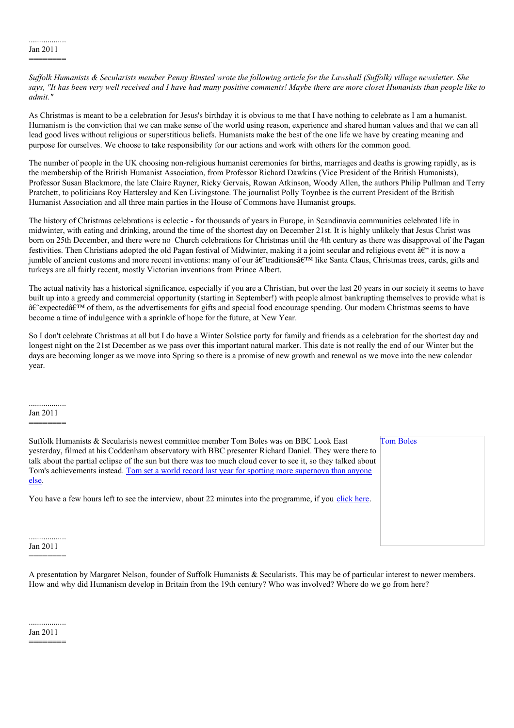Suffolk Humanists & Secularists member Penny Binsted wrote the following article for the Lawshall (Suffolk) village newsletter. She says, "It has been very well received and I have had many positive comments! Maybe there are more closet Humanists than people like to *admit."*

As Christmas is meant to be a celebration for Jesus's birthday it is obvious to me that I have nothing to celebrate as I am a humanist. Humanism is the conviction that we can make sense of the world using reason, experience and shared human values and that we can all lead good lives without religious or superstitious beliefs. Humanists make the best of the one life we have by creating meaning and purpose for ourselves. We choose to take responsibility for our actions and work with others for the common good.

The number of people in the UK choosing non-religious humanist ceremonies for births, marriages and deaths is growing rapidly, as is the membership of the British Humanist Association, from Professor Richard Dawkins (Vice President of the British Humanists), Professor Susan Blackmore, the late Claire Rayner, Ricky Gervais, Rowan Atkinson, Woody Allen, the authors Philip Pullman and Terry Pratchett, to politicians Roy Hattersley and Ken Livingstone. The journalist Polly Toynbee is the current President of the British Humanist Association and all three main parties in the House of Commons have Humanist groups.

The history of Christmas celebrations is eclectic - for thousands of years in Europe, in Scandinavia communities celebrated life in midwinter, with eating and drinking, around the time of the shortest day on December 21st. It is highly unlikely that Jesus Christ was born on 25th December, and there were no Church celebrations for Christmas until the 4th century as there was disapproval of the Pagan festivities. Then Christians adopted the old Pagan festival of Midwinter, making it a joint secular and religious event  $\hat{a} \in \hat{a}$  it is now a jumble of ancient customs and more recent inventions: many of our  $\hat{\mathfrak{a}}$  exact at  $\hat{\mathfrak{a}}$  like Santa Claus, Christmas trees, cards, gifts and turkeys are all fairly recent, mostly Victorian inventions from Prince Albert.

The actual nativity has a historical significance, especially if you are a Christian, but over the last 20 years in our society it seems to have built up into a greedy and commercial opportunity (starting in September!) with people almost bankrupting themselves to provide what is  $\hat{\mathbf{a}} \in \hat{\mathbf{c}}$  are advertisements for gifts and special food encourage spending. Our modern Christmas seems to have become a time of indulgence with a sprinkle of hope for the future, at New Year.

So I don't celebrate Christmas at all but I do have a Winter Solstice party for family and friends as a celebration for the shortest day and longest night on the 21st December as we pass over this important natural marker. This date is not really the end of our Winter but the days are becoming longer as we move into Spring so there is a promise of new growth and renewal as we move into the new calendar year.

.................. Jan 2011

========

Suffolk Humanists & Secularists newest committee member Tom Boles was on BBC Look East yesterday, filmed at his Coddenham observatory with BBC presenter Richard Daniel. They were there to talk about the partial eclipse of the sun but there was too much cloud cover to see it, so they talked about Tom's [achievements](http://www.telegraph.co.uk/science/science-news/6173407/Amateur-British-astronomer-takes-world-record-for-most-supernova.html) instead. Tom set a world record last year for spotting more supernova than anyone else.

You have a few hours left to see the interview, about 22 minutes into the programme, if you [click](http://www.bbc.co.uk/programmes/b006mj5w) here.

Tom Boles

Jan 2011

========

A presentation by Margaret Nelson, founder of Suffolk Humanists & Secularists. This may be of particular interest to newer members. How and why did Humanism develop in Britain from the 19th century? Who was involved? Where do we go from here?

.................. Jan 2011

========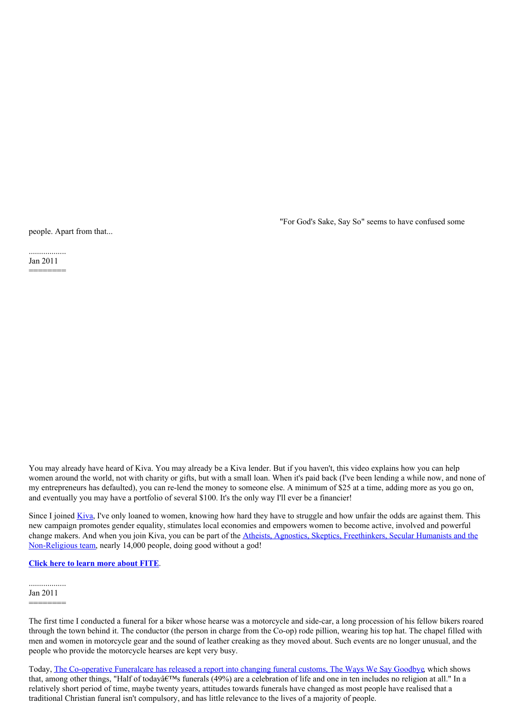"For God's Sake, Say So" seems to have confused some

people. Apart from that...

.................. Jan 2011 ========

You may already have heard of Kiva. You may already be a Kiva lender. But if you haven't, this video explains how you can help women around the world, not with charity or gifts, but with a small loan. When it's paid back (I've been lending a while now, and none of my entrepreneurs has defaulted), you can re-lend the money to someone else. A minimum of \$25 at a time, adding more as you go on, and eventually you may have a portfolio of several \$100. It's the only way I'll ever be a financier!

Since I joined <u>[Kiva](http://www.kiva.org/)</u>, I've only loaned to women, knowing how hard they have to struggle and how unfair the odds are against them. This new campaign promotes gender equality, stimulates local economies and empowers women to become active, involved and powerful change makers. And when you join Kiva, you can be part of the Atheists, Agnostics, Skeptics, Freethinkers, Secular Humanists and the [Non-Religious](http://www.kiva.org/team/atheists) team, nearly 14,000 people, doing good without a god!

# **Click here to learn more [about](http://joinfite.org/en) FITE**.

.................. Jan 2011

========

The first time I conducted a funeral for a biker whose hearse was a motorcycle and side-car, a long procession of his fellow bikers roared through the town behind it. The conductor (the person in charge from the Co-op) rode pillion, wearing his top hat. The chapel filled with men and women in motorcycle gear and the sound of leather creaking as they moved about. Such events are no longer unusual, and the people who provide the motorcycle hearses are kept very busy.

Today, The [Co-operative](http://www.co-operative.coop/funeralcare/about-us/News/First-ever-report-into-UK-funeral-customs-highlights-major-change/) Funeralcare has released a report into changing funeral customs, The Ways We Say Goodbye, which shows that, among other things, "Half of today $\hat{\mathfrak{g}}\in\mathbb{M}$ s funerals (49%) are a celebration of life and one in ten includes no religion at all." In a relatively short period of time, maybe twenty years, attitudes towards funerals have changed as most people have realised that a traditional Christian funeral isn't compulsory, and has little relevance to the lives of a majority of people.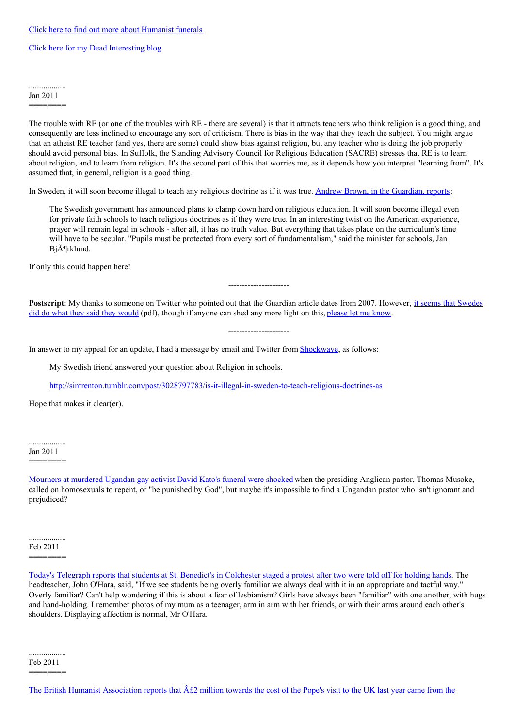Click here for my Dead [Interesting](http://deadinteresting.blogspot.com/) blog

## .................. Jan 2011

========

The trouble with RE (or one of the troubles with RE - there are several) is that it attracts teachers who think religion is a good thing, and consequently are less inclined to encourage any sort of criticism. There is bias in the way that they teach the subject. You might argue that an atheist RE teacher (and yes, there are some) could show bias against religion, but any teacher who is doing the job properly should avoid personal bias. In Suffolk, the Standing Advisory Council for Religious Education (SACRE) stresses that RE is to learn about religion, and to learn from religion. It's the second part of this that worries me, as it depends how you interpret "learning from". It's assumed that, in general, religion is a good thing.

In Sweden, it will soon become illegal to teach any religious doctrine as if it was true. Andrew Brown, in the [Guardian,](http://www.guardian.co.uk/commentisfree/2007/oct/18/godshonesttruth) reports:

The Swedish government has announced plans to clamp down hard on religious education. It will soon become illegal even for private faith schools to teach religious doctrines as if they were true. In an interesting twist on the American experience, prayer will remain legal in schools - after all, it has no truth value. But everything that takes place on the curriculum's time will have to be secular. "Pupils must be protected from every sort of fundamentalism," said the minister for schools, Jan Bj $\tilde{A}$ Trklund.

If only this could happen here!

**[Postscript](http://zjr-online.net/v2010/zjr201007_davidsen_rez_alberts.pdf)**: My thanks to someone on Twitter who pointed out that the Guardian article dates from 2007. However, it seems that Swedes did do what they said they would (pdf), though if anyone can shed any more light on this, [please](http://www.suffolkhands.org.uk/contact) let me know.

----------------------

----------------------

In answer to my appeal for an update, I had a message by email and Twitter from [Shockwave](http://twitter.com/#!/Shockwave), as follows:

My Swedish friend answered your question about Religion in schools.

<http://sintrenton.tumblr.com/post/3028797783/is-it-illegal-in-sweden-to-teach-religious-doctrines-as>

Hope that makes it clear(er).

Jan 2011 ========

[Mourners](http://www.guardian.co.uk/world/2011/jan/28/gay-activist-david-kato-funeral) at murdered Ugandan gay activist David Kato's funeral were shocked when the presiding Anglican pastor, Thomas Musoke, called on homosexuals to repent, or "be punished by God", but maybe it's impossible to find a Ungandan pastor who isn't ignorant and prejudiced?

.................. Feb 2011 ========

Today's Telegraph reports that students at St. Benedict's in [Colchester](http://www.telegraph.co.uk/news/newstopics/religion/8292967/Pupils-stage-protest-after-girls-told-off-for-holding-hands.html) staged a protest after two were told off for holding hands. The headteacher, John O'Hara, said, "If we see students being overly familiar we always deal with it in an appropriate and tactful way." Overly familiar? Can't help wondering if this is about a fear of lesbianism? Girls have always been "familiar" with one another, with hugs and hand-holding. I remember photos of my mum as a teenager, arm in arm with her friends, or with their arms around each other's shoulders. Displaying affection is normal, Mr O'Hara.

.................. Feb 2011 ========

The British Humanist [Association](http://www.humanism.org.uk/news/view/739) reports that  $\hat{A}\hat{t}2$  million towards the cost of the Pope's visit to the UK last year came from the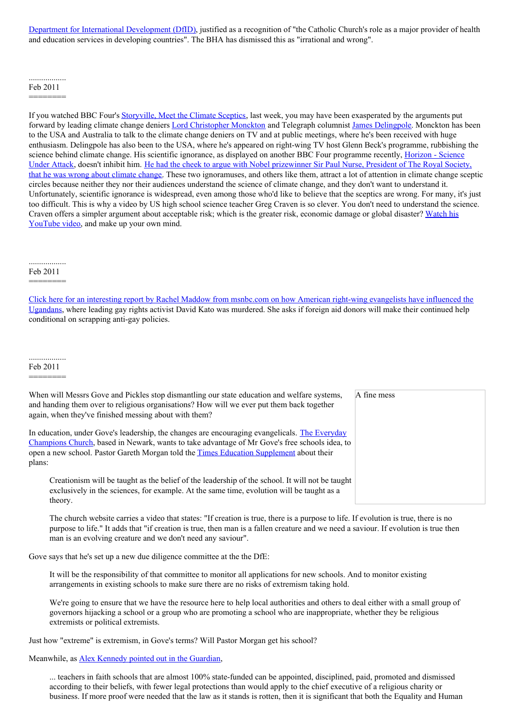Department for International Development (DfID), justified as a recognition of "the Catholic Church's role as a major provider of health and education services in developing countries". The BHA has dismissed this as "irrational and wrong".

#### .................. Feb 2011

========

If you watched BBC Four's [Storyville,](http://www.bbc.co.uk/iplayer/episode/b00y5j3v/Storyville_20102011_Meet_the_Climate_Sceptics/) Meet the Climate Sceptics, last week, you may have been exasperated by the arguments put forward by leading climate change deniers **Lord [Christopher](http://www.guardian.co.uk/environment/2010/sep/21/climate-scientists-christopher-monckton) Monckton** and Telegraph columnist James [Delingpole](http://blogs.telegraph.co.uk/news/author/jamesdelingpole/). Monckton has been to the USA and Australia to talk to the climate change deniers on TV and at public meetings, where he's been received with huge enthusiasm. Delingpole has also been to the USA, where he's appeared on right-wing TV host Glenn Beck's programme, rubbishing the science behind climate change. His scientific ignorance, as displayed on another BBC Four [programme](http://www.bbc.co.uk/iplayer/episode/b00y4yql/Horizon_20102011_Science_Under_Attack/) recently, Horizon - Science Under Attack, doesn't inhibit him. He had the cheek to argue with Nobel prizewinner Sir Paul Nurse, President of The Royal Society, that he was wrong about climate change. These two [ignoramuses,](http://www.guardian.co.uk/environment/blog/2011/jan/24/james-delingpole-tv-interview) and others like them, attract a lot of attention in climate change sceptic circles because neither they nor their audiences understand the science of climate change, and they don't want to understand it. Unfortunately, scientific ignorance is widespread, even among those who'd like to believe that the sceptics are wrong. For many, it's just too difficult. This is why a video by US high school science teacher Greg Craven is so clever. You don't need to understand the science. Craven offers a simpler argument about [acceptable](http://www.youtube.com/watch?v=mF_anaVcCXg) risk; which is the greater risk, economic damage or global disaster? Watch his YouTube video, and make up your own mind.

.................. Feb 2011

# ========

Click here for an interesting report by Rachel Maddow from [msnbc.com](http://www.msnbc.msn.com/id/26315908/#41434173) on how American right-wing evangelists have influenced the Ugandans, where leading gay rights activist David Kato was murdered. She asks if foreign aid donors will make their continued help conditional on scrapping anti-gay policies.

.................. Feb 2011

========

| When will Messrs Gove and Pickles stop dismantling our state education and welfare systems,<br>and handing them over to religious organisations? How will we ever put them back together<br>again, when they've finished messing about with them?                                                          | A fine mess |
|------------------------------------------------------------------------------------------------------------------------------------------------------------------------------------------------------------------------------------------------------------------------------------------------------------|-------------|
| In education, under Gove's leadership, the changes are encouraging evangelicals. The Everyday<br>Champions Church, based in Newark, wants to take advantage of Mr Gove's free schools idea, to<br>open a new school. Pastor Gareth Morgan told the <i>Times Education Supplement</i> about their<br>plans: |             |
| Creationism will be taught as the belief of the leadership of the school. It will not be taught<br>exclusively in the sciences, for example. At the same time, evolution will be taught as a<br>theory.                                                                                                    |             |

The church website carries a video that states: "If creation is true, there is a purpose to life. If evolution is true, there is no purpose to life." It adds that "if creation is true, then man is a fallen creature and we need a saviour. If evolution is true then man is an evolving creature and we don't need any saviour".

Gove says that he's set up a new due diligence committee at the the DfE:

It will be the responsibility of that committee to monitor all applications for new schools. And to monitor existing arrangements in existing schools to make sure there are no risks of extremism taking hold.

We're going to ensure that we have the resource here to help local authorities and others to deal either with a small group of governors hijacking a school or a group who are promoting a school who are inappropriate, whether they be religious extremists or political extremists.

Just how "extreme" is extremism, in Gove's terms? Will Pastor Morgan get his school?

Meanwhile, as **Alex Kennedy pointed out in the [Guardian](http://www.guardian.co.uk/commentisfree/belief/2010/jan/19/faith-schools-teachers-discrimination)**,

... teachers in faith schools that are almost 100% state-funded can be appointed, disciplined, paid, promoted and dismissed according to their beliefs, with fewer legal protections than would apply to the chief executive of a religious charity or business. If more proof were needed that the law as it stands is rotten, then it is significant that both the Equality and Human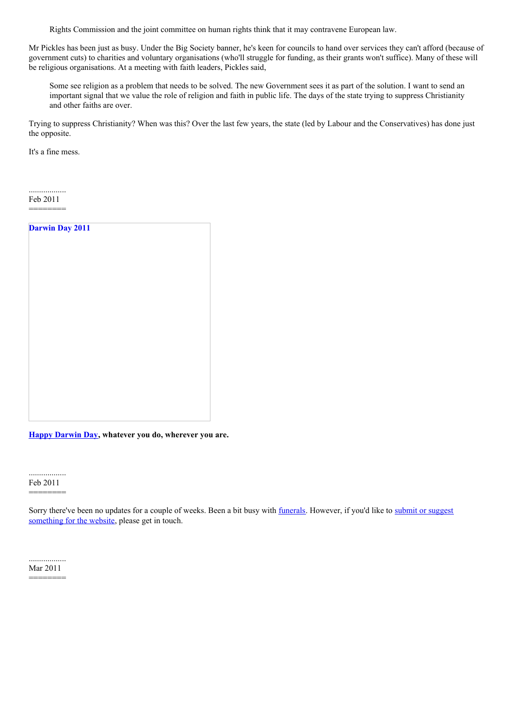Rights Commission and the joint committee on human rights think that it may contravene European law.

Mr Pickles has been just as busy. Under the Big Society banner, he's keen for councils to hand over services they can't afford (because of government cuts) to charities and voluntary organisations (who'll struggle for funding, as their grants won't suffice). Many of these will be religious organisations. At a meeting with faith leaders, Pickles said,

Some see religion as a problem that needs to be solved. The new Government sees it as part of the solution. I want to send an important signal that we value the role of religion and faith in public life. The days of the state trying to suppress Christianity and other faiths are over.

Trying to suppress Christianity? When was this? Over the last few years, the state (led by Labour and the Conservatives) has done just the opposite.

It's a fine mess.

.................. Feb 2011 ========

| <b>Darwin Day 2011</b> |  |  |
|------------------------|--|--|
|                        |  |  |
|                        |  |  |
|                        |  |  |
|                        |  |  |
|                        |  |  |
|                        |  |  |
|                        |  |  |
|                        |  |  |
|                        |  |  |
|                        |  |  |
|                        |  |  |

**Happy [Darwin](http://www.darwinday.org/index.php) Day, whatever you do, wherever you are.**

.................. Feb 2011

========

Sorry there've been no updates for a couple of weeks. Been a bit busy with [funerals](http://www.suffolkhands.org.uk/funerals). However, if you'd like to submit or suggest [something](http://www.suffolkhands.org.uk/contact) for the website, please get in touch.

.................. Mar 2011 ========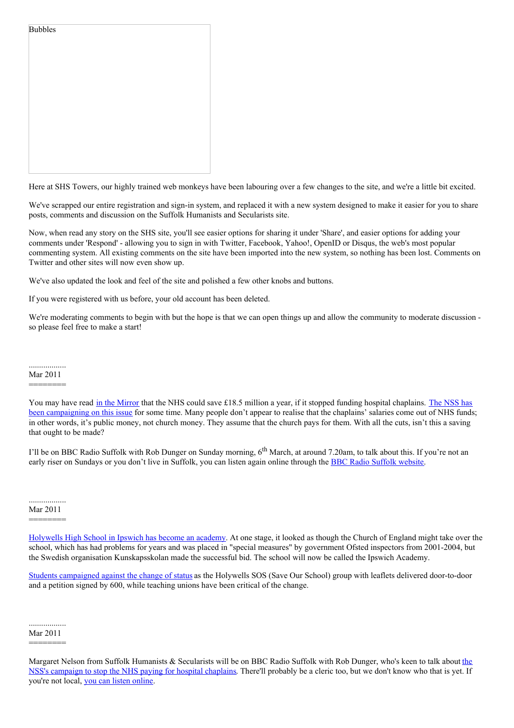| <b>Bubbles</b> |  |  |  |
|----------------|--|--|--|
|                |  |  |  |
|                |  |  |  |
|                |  |  |  |
|                |  |  |  |
|                |  |  |  |
|                |  |  |  |

Here at SHS Towers, our highly trained web monkeys have been labouring over a few changes to the site, and we're a little bit excited.

We've scrapped our entire registration and sign-in system, and replaced it with a new system designed to make it easier for you to share posts, comments and discussion on the Suffolk Humanists and Secularists site.

Now, when read any story on the SHS site, you'll see easier options for sharing it under 'Share', and easier options for adding your comments under 'Respond' - allowing you to sign in with Twitter, Facebook, Yahoo!, OpenID or Disqus, the web's most popular commenting system. All existing comments on the site have been imported into the new system, so nothing has been lost. Comments on Twitter and other sites will now even show up.

We've also updated the look and feel of the site and polished a few other knobs and buttons.

If you were registered with us before, your old account has been deleted.

We're moderating comments to begin with but the hope is that we can open things up and allow the community to moderate discussion so please feel free to make a start!

.................. Mar 2011

========

I'll be on BBC Radio Suffolk with Rob Dunger on Sunday morning, 6<sup>th</sup> March, at around 7.20am, to talk about this. If you're not an early riser on Sundays or you don't live in [Suffolk](http://www.bbc.co.uk/suffolk/programmes), you can listen again online through the **BBC Radio Suffolk website.** 

Mar 2011

========

[Holywells](http://www.eveningstar.co.uk/news/ipswich_high_school_has_first_day_as_town_s_new_academy_1_816900) High School in Ipswich has become an academy. At one stage, it looked as though the Church of England might take over the school, which has had problems for years and was placed in "special measures" by government Ofsted inspectors from 2001-2004, but the Swedish organisation Kunskapsskolan made the successful bid. The school will now be called the Ipswich Academy.

Students [campaigned](http://www.eveningstar.co.uk/news/leaflet_drive_in_fight_against_academy_1_204501) against the change of status as the Holywells SOS (Save Our School) group with leaflets delivered door-to-door and a petition signed by 600, while teaching unions have been critical of the change.

.................. Mar 2011 ========

You may have read in the [Mirror](http://www.mirror.co.uk/news/top-stories/2011/02/28/nhs-could-save-18-5m-a-year-by-reducing-chaplaincy-costs-says-national-secular-society-115875-22954738/) that the NHS could save £18.5 million a year, if it stopped funding hospital chaplains. The NSS has been [campaigning](http://www.secularism.org.uk/study-shows-that-spending-on-hos.html) on this issue for some time. Many people don't appear to realise that the chaplains' salaries come out of NHS funds; in other words, it's public money, not church money. They assume that the church pays for them. With all the cuts, isn't this a saving that ought to be made?

Margaret Nelson from Suffolk Humanists & [Secularists](http://www.mirror.co.uk/news/top-stories/2011/02/28/nhs-could-save-18-5m-a-year-by-reducing-chaplaincy-costs-says-national-secular-society-115875-22954738/) will be on BBC Radio Suffolk with Rob Dunger, who's keen to talk about the NSS's campaign to stop the NHS paying for hospital chaplains. There'll probably be a cleric too, but we don't know who that is yet. If you're not local, you can listen [online](http://www.bbc.co.uk/programmes/p00f277n).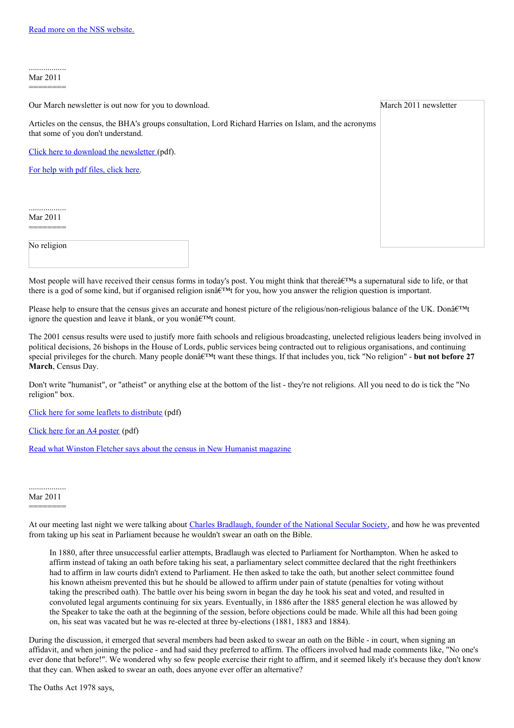.................. Mar 2011 ========

| Our March newsletter is out now for you to download. |                                                                                                        | March 2011 newsletter |
|------------------------------------------------------|--------------------------------------------------------------------------------------------------------|-----------------------|
| that some of you don't understand.                   | Articles on the census, the BHA's groups consultation, Lord Richard Harries on Islam, and the acronyms |                       |
| Click here to download the newsletter (pdf).         |                                                                                                        |                       |
| For help with pdf files, click here.                 |                                                                                                        |                       |
|                                                      |                                                                                                        |                       |
|                                                      |                                                                                                        |                       |
| Mar 2011                                             |                                                                                                        |                       |
| No religion                                          |                                                                                                        |                       |

Most people will have received their census forms in today's post. You might think that there $\hat{a} \in \mathbb{R}^{TM}$  a supernatural side to life, or that there is a god of some kind, but if organised religion isn $\hat{\mathbf{a}} \in \mathbb{R}^{M}$  for you, how you answer the religion question is important.

Please help to ensure that the census gives an accurate and honest picture of the religious/non-religious balance of the UK. Donâ $\epsilon^{\text{TM}}$ t ignore the question and leave it blank, or you won $\hat{a} \in T^M$ t count.

The 2001 census results were used to justify more faith schools and religious broadcasting, unelected religious leaders being involved in political decisions, 26 bishops in the House of Lords, public services being contracted out to religious organisations, and continuing special privileges for the church. Many people don $\hat{\mathbf{a}} \in \mathbb{M}$  want these things. If that includes you, tick "No religion" - **but not before 27 March**, Census Day.

Don't write "humanist", or "atheist" or anything else at the bottom of the list - they're not religions. All you need to do is tick the "No religion" box.

Click here for some leaflets to [distribute](https://html2pdf.com/files/wqi16hzg0unp2tip/o_1dro1cnpr1hcuk61dpulqnl9s14/%20http://www.suffolkhands.org.uk/files/1/Census%20leaflet%202011.pdf) (pdf)

Click here for an A4 [poster](https://html2pdf.com/files/wqi16hzg0unp2tip/o_1dro1cnpr1hcuk61dpulqnl9s14/%20http://www.suffolkhands.org.uk/files/1/Census%20poster%202011.pdf) (pdf)

Read what Winston Fletcher says about the census in New [Humanist](http://newhumanist.org.uk/2502/count-yourself-out) magazine

.................. Mar 2011 ========

At our meeting last night we were talking about Charles [Bradlaugh,](http://www.secularism.org.uk/charlesbradlaugh.html) founder of the National Secular Society, and how he was prevented from taking up his seat in Parliament because he wouldn't swear an oath on the Bible.

In 1880, after three unsuccessful earlier attempts, Bradlaugh was elected to Parliament for Northampton. When he asked to affirm instead of taking an oath before taking his seat, a parliamentary select committee declared that the right freethinkers had to affirm in law courts didn't extend to Parliament. He then asked to take the oath, but another select committee found his known atheism prevented this but he should be allowed to affirm under pain of statute (penalties for voting without taking the prescribed oath). The battle over his being sworn in began the day he took his seat and voted, and resulted in convoluted legal arguments continuing for six years. Eventually, in 1886 after the 1885 general election he was allowed by the Speaker to take the oath at the beginning of the session, before objections could be made. While all this had been going on, his seat was vacated but he was re-elected at three by-elections (1881, 1883 and 1884).

During the discussion, it emerged that several members had been asked to swear an oath on the Bible - in court, when signing an affidavit, and when joining the police - and had said they preferred to affirm. The officers involved had made comments like, "No one's ever done that before!". We wondered why so few people exercise their right to affirm, and it seemed likely it's because they don't know that they can. When asked to swear an oath, does anyone ever offer an alternative?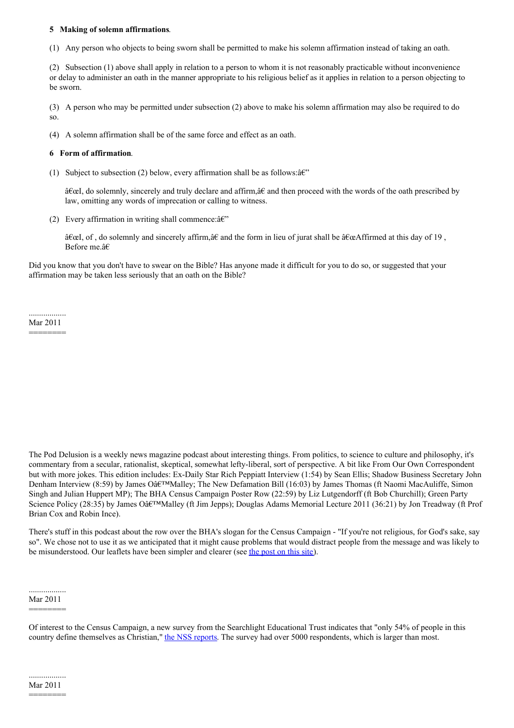## **5 Making of solemn affirmations**.

(1) Any person who objects to being sworn shall be permitted to make his solemn affirmation instead of taking an oath.

(2) Subsection (1) above shall apply in relation to a person to whom it is not reasonably practicable without inconvenience or delay to administer an oath in the manner appropriate to his religious belief as it applies in relation to a person objecting to be sworn.

(3) A person who may be permitted under subsection (2) above to make his solemn affirmation may also be required to do so.

(4) A solemn affirmation shall be of the same force and effect as an oath.

#### **6 Form of affirmation**.

(1) Subject to subsection (2) below, every affirmation shall be as follows:  $\hat{a}\hat{\epsilon}$ "

"I, do solemnly, sincerely and truly declare and affirm,†and then proceed with the words of the oath prescribed by law, omitting any words of imprecation or calling to witness.

(2) Every affirmation in writing shall commence: $\hat{a} \in \hat{C}$ 

 $\hat{\mathbf{i}}\in\mathbb{C}$ , of, do solemnly and sincerely affirm, $\hat{\mathbf{i}}\in\mathbb{C}$  and the form in lieu of jurat shall be  $\hat{\mathbf{i}}\in\mathbb{C}$  affirmed at this day of 19, Before me.â€

Did you know that you don't have to swear on the Bible? Has anyone made it difficult for you to do so, or suggested that your affirmation may be taken less seriously that an oath on the Bible?

.................. Mar 2011 ========

The Pod Delusion is a weekly news magazine podcast about interesting things. From politics, to science to culture and philosophy, it's commentary from a secular, rationalist, skeptical, somewhat lefty-liberal, sort of perspective. A bit like From Our Own Correspondent but with more jokes. This edition includes: Ex-Daily Star Rich Peppiatt Interview (1:54) by Sean Ellis; Shadow Business Secretary John Denham Interview (8:59) by James O $\hat{a}$ E<sup>TM</sup>Malley; The New Defamation Bill (16:03) by James Thomas (ft Naomi MacAuliffe, Simon Singh and Julian Huppert MP); The BHA Census Campaign Poster Row (22:59) by Liz Lutgendorff (ft Bob Churchill); Green Party Science Policy (28:35) by James Oâ $\varepsilon^{TM}$ Malley (ft Jim Jepps); Douglas Adams Memorial Lecture 2011 (36:21) by Jon Treadway (ft Prof Brian Cox and Robin Ince).

There's stuff in this podcast about the row over the BHA's slogan for the Census Campaign - "If you're not religious, for God's sake, say so". We chose not to use it as we anticipated that it might cause problems that would distract people from the message and was likely to be misunderstood. Our leaflets have been simpler and clearer (see the [post](http://www.suffolkhands.org.uk/node/1300) on this site).

.................. Mar 2011

========

Of interest to the Census Campaign, a new survey from the Searchlight Educational Trust indicates that "only 54% of people in this country define themselves as Christian," the NSS [reports](http://www.secularism.org.uk/big-majority-of-britons-think-re.html). The survey had over 5000 respondents, which is larger than most.

<sup>========</sup>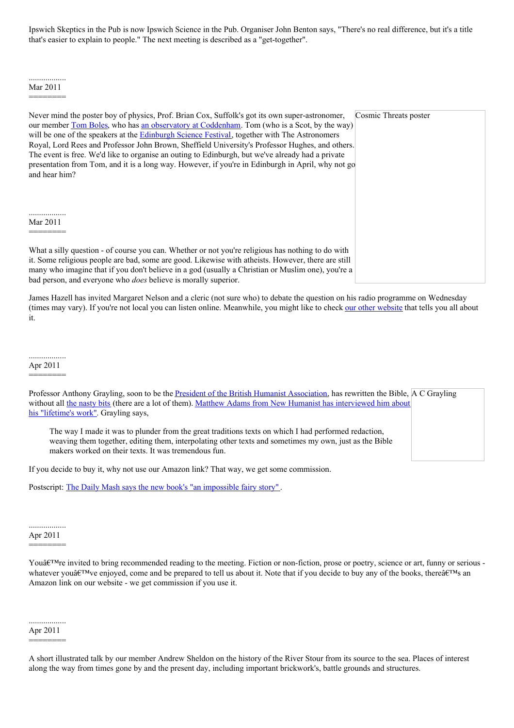Ipswich Skeptics in the Pub is now Ipswich Science in the Pub. Organiser John Benton says, "There's no real difference, but it's a title that's easier to explain to people." The next meeting is described as a "get-together".

Cosmic Threats poster

#### .................. Mar 2011 ========

Never mind the poster boy of physics, Prof. Brian Cox, Suffolk's got its own super-astronomer, our member Tom [Boles](http://www.suffolkhands.org.uk/node/1270), who has an observatory at [Coddenham](http://myweb.tiscali.co.uk/tomboles/). Tom (who is a Scot, by the way) will be one of the speakers at the **[Edinburgh](http://www.sciencefestival.co.uk/whats-on/categories/talk/fire-in-the-sky-cosmic-threats-to-earth) Science Festival**, together with The Astronomers Royal, Lord Rees and Professor John Brown, Sheffield University's Professor Hughes, and others. The event is free. We'd like to organise an outing to Edinburgh, but we've already had a private presentation from Tom, and it is a long way. However, if you're in Edinburgh in April, why not go and hear him?

.................. Mar 2011

========

What a silly question - of course you can. Whether or not you're religious has nothing to do with it. Some religious people are bad, some are good. Likewise with atheists. However, there are still many who imagine that if you don't believe in a god (usually a Christian or Muslim one), you're a bad person, and everyone who *does* believe is morally superior.

James Hazell has invited Margaret Nelson and a cleric (not sure who) to debate the question on his radio programme on Wednesday (times may vary). If you're not local you can listen online. Meanwhile, you might like to check our other [website](http://www.agoodlifewithoutreligion.com/) that tells you all about it.

#### .................. Apr 2011

========

| Professor Anthony Grayling, soon to be the <u>President of the British Humanist Association</u> , has rewritten the Bible, A C Grayling                                                                                                                                |  |
|------------------------------------------------------------------------------------------------------------------------------------------------------------------------------------------------------------------------------------------------------------------------|--|
| without all the nasty bits (there are a lot of them). Matthew Adams from New Humanist has interviewed him about                                                                                                                                                        |  |
| his "lifetime's work". Grayling says,                                                                                                                                                                                                                                  |  |
| The way I made it was to plunder from the great traditions texts on which I had performed redaction,<br>weaving them together, editing them, interpolating other texts and sometimes my own, just as the Bible<br>makers worked on their texts. It was tremendous fun. |  |

If you decide to buy it, why not use our Amazon link? That way, we get some commission.

Postscript: The Daily Mash says the new book's "an [impossible](http://www.thedailymash.co.uk/news/society/%2527atheist-bible%2527-an-impossible-fairy-story,-say-christians-201104053690/) fairy story".

.................. Apr 2011 ========

You $\hat{\mathbf{a}} \in \mathbb{R}^{n}$  invited to bring recommended reading to the meeting. Fiction or non-fiction, prose or poetry, science or art, funny or serious whatever you'<sub>a</sub>  $\varepsilon^{TM}$  ve enjoyed, come and be prepared to tell us about it. Note that if you decide to buy any of the books, there $\varepsilon^{TM}$  and Amazon link on our website - we get commission if you use it.

.................. Apr 2011 ========

A short illustrated talk by our member Andrew Sheldon on the history of the River Stour from its source to the sea. Places of interest along the way from times gone by and the present day, including important brickwork's, battle grounds and structures.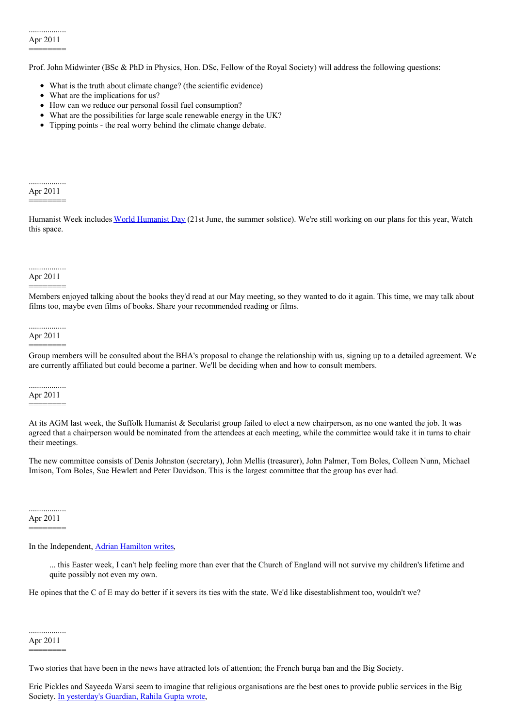Prof. John Midwinter (BSc & PhD in Physics, Hon. DSc, Fellow of the Royal Society) will address the following questions:

- What is the truth about climate change? (the scientific evidence)
- What are the implications for us?
- How can we reduce our personal fossil fuel consumption?
- What are the possibilities for large scale renewable energy in the UK?
- Tipping points the real worry behind the climate change debate.

#### .................. Apr 2011

========

[Humanist](http://www.iheu.org/celebrating-world-humanist-day) Week includes World Humanist Day (21st June, the summer solstice). We're still working on our plans for this year, Watch this space.

# ..................

## Apr 2011 ========

Members enjoyed talking about the books they'd read at our May meeting, so they wanted to do it again. This time, we may talk about films too, maybe even films of books. Share your recommended reading or films.

#### .................. Apr 2011

# ========

Group members will be consulted about the BHA's proposal to change the relationship with us, signing up to a detailed agreement. We are currently affiliated but could become a partner. We'll be deciding when and how to consult members.

#### .................. Apr 2011

# ========

At its AGM last week, the Suffolk Humanist & Secularist group failed to elect a new chairperson, as no one wanted the job. It was agreed that a chairperson would be nominated from the attendees at each meeting, while the committee would take it in turns to chair their meetings.

The new committee consists of Denis Johnston (secretary), John Mellis (treasurer), John Palmer, Tom Boles, Colleen Nunn, Michael Imison, Tom Boles, Sue Hewlett and Peter Davidson. This is the largest committee that the group has ever had.

#### .................. Apr 2011 ========

In the Independent, Adrian [Hamilton](http://www.independent.co.uk/opinion/faith/will-the-last-person-to-leave-the-church-of-england-please-turn-out-the-lights-2269185.html) writes,

... this Easter week, I can't help feeling more than ever that the Church of England will not survive my children's lifetime and quite possibly not even my own.

He opines that the C of E may do better if it severs its ties with the state. We'd like disestablishment too, wouldn't we?

.................. Apr 2011 ========

Two stories that have been in the news have attracted lots of attention; the French burqa ban and the Big Society.

Eric Pickles and Sayeeda Warsi seem to imagine that religious organisations are the best ones to provide public services in the Big Society. In [yesterday's](http://www.guardian.co.uk/commentisfree/belief/2011/apr/19/secularism-minorities-faith-big-society) Guardian, Rahila Gupta wrote,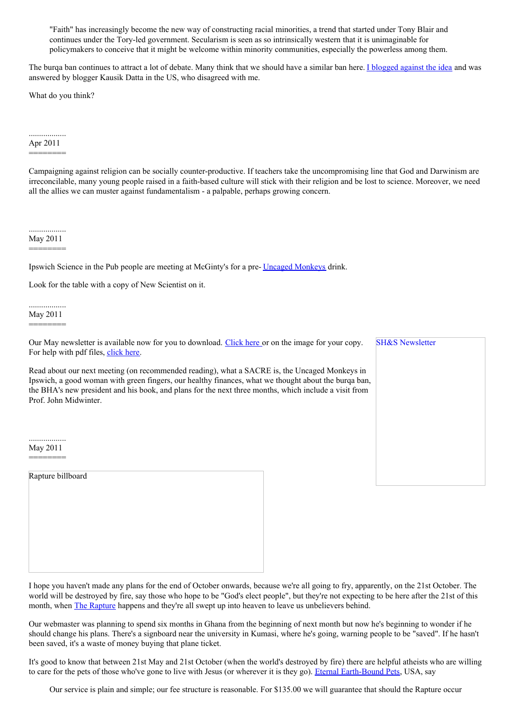"Faith" has increasingly become the new way of constructing racial minorities, a trend that started under Tony Blair and continues under the Tory-led government. Secularism is seen as so intrinsically western that it is unimaginable for policymakers to conceive that it might be welcome within minority communities, especially the powerless among them.

The burqa ban continues to attract a lot of debate. Many think that we should have a similar ban here. I [blogged](http://theanswers42.blogspot.com/2011/04/french-burqa-ban-has-nothing-to-do-with.html) against the idea and was answered by blogger Kausik Datta in the US, who disagreed with me.

What do you think?

# .................. Apr 2011 ========

Campaigning against religion can be socially counter-productive. If teachers take the uncompromising line that God and Darwinism are irreconcilable, many young people raised in a faith-based culture will stick with their religion and be lost to science. Moreover, we need all the allies we can muster against fundamentalism - a palpable, perhaps growing concern.

.................. May 2011

========

Ipswich Science in the Pub people are meeting at McGinty's for a pre- Uncaged [Monkeys](http://www.ents24.com/web/event/Uncaged-Monkeys-Regent-Theatre-Ipswich-2323932.html) drink.

Look for the table with a copy of New Scientist on it.

.................. May 2011

========

Our May newsletter is available now for you to download. [Click](http://www.suffolkhands.org.uk/files/1/SH&S%20News%20May%202011.pdf) here or on the image for your copy. For help with pdf files, [click](http://www.suffolkhands.org.uk/node/40) here.

Read about our next meeting (on recommended reading), what a SACRE is, the Uncaged Monkeys in Ipswich, a good woman with green fingers, our healthy finances, what we thought about the burqa ban, the BHA's new president and his book, and plans for the next three months, which include a visit from Prof. John Midwinter.

|  | <b>SH&amp;S Newsletter</b> |  |  |
|--|----------------------------|--|--|
|  |                            |  |  |
|  |                            |  |  |
|  |                            |  |  |
|  |                            |  |  |
|  |                            |  |  |
|  |                            |  |  |
|  |                            |  |  |
|  |                            |  |  |
|  |                            |  |  |

.................. May 2011 ========

Rapture billboard

I hope you haven't made any plans for the end of October onwards, because we're all going to fry, apparently, on the 21st October. The world will be destroyed by fire, say those who hope to be "God's elect people", but they're not expecting to be here after the 21st of this month, when The [Rapture](http://www.ebiblefellowship.com/outreach/tracts/may21/) happens and they're all swept up into heaven to leave us unbelievers behind.

Our webmaster was planning to spend six months in Ghana from the beginning of next month but now he's beginning to wonder if he should change his plans. There's a signboard near the university in Kumasi, where he's going, warning people to be "saved". If he hasn't been saved, it's a waste of money buying that plane ticket.

It's good to know that between 21st May and 21st October (when the world's destroyed by fire) there are helpful atheists who are willing to care for the pets of those who've gone to live with Jesus (or wherever it is they go). Eternal [Earth-Bound](http://eternal-earthbound-pets.com/Home_Page.html) Pets, USA, say

Our service is plain and simple; our fee structure is reasonable. For \$135.00 we will guarantee that should the Rapture occur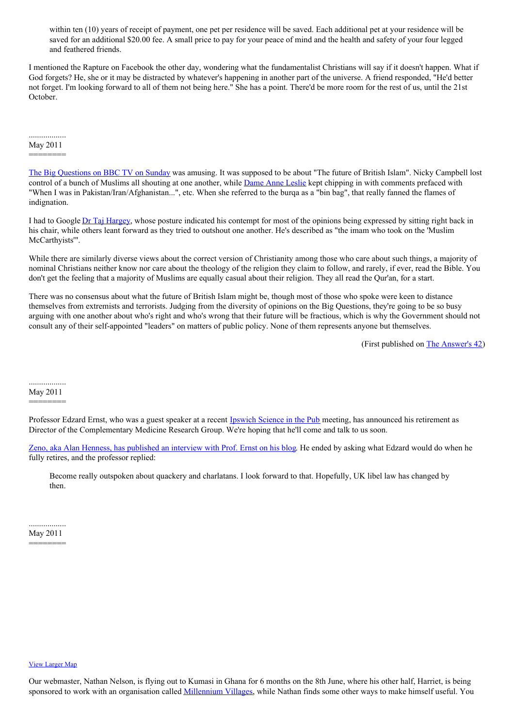within ten (10) years of receipt of payment, one pet per residence will be saved. Each additional pet at your residence will be saved for an additional \$20.00 fee. A small price to pay for your peace of mind and the health and safety of your four legged and feathered friends.

I mentioned the Rapture on Facebook the other day, wondering what the fundamentalist Christians will say if it doesn't happen. What if God forgets? He, she or it may be distracted by whatever's happening in another part of the universe. A friend responded, "He'd better not forget. I'm looking forward to all of them not being here." She has a point. There'd be more room for the rest of us, until the 21st October.

#### .................. May 2011

========

The Big [Questions](http://www.bbc.co.uk/iplayer/episode/b011d9h8/The_Big_Questions_Series_4_Episode_16/) on BBC TV on Sunday was amusing. It was supposed to be about "The future of British Islam". Nicky Campbell lost control of a bunch of Muslims all shouting at one another, while Dame Anne [Leslie](http://news.bbc.co.uk/1/hi/uk/6217221.stm) kept chipping in with comments prefaced with "When I was in Pakistan/Iran/Afghanistan...", etc. When she referred to the burqa as a "bin bag", that really fanned the flames of indignation.

I had to Google Dr Taj [Hargey](http://www.independent.co.uk/news/uk/home-news/the-imam-who-took-on-the-muslim-mccarthyists-1666126.html), whose posture indicated his contempt for most of the opinions being expressed by sitting right back in his chair, while others leant forward as they tried to outshout one another. He's described as "the imam who took on the 'Muslim McCarthyists"'.

While there are similarly diverse views about the correct version of Christianity among those who care about such things, a majority of nominal Christians neither know nor care about the theology of the religion they claim to follow, and rarely, if ever, read the Bible. You don't get the feeling that a majority of Muslims are equally casual about their religion. They all read the Qur'an, for a start.

There was no consensus about what the future of British Islam might be, though most of those who spoke were keen to distance themselves from extremists and terrorists. Judging from the diversity of opinions on the Big Questions, they're going to be so busy arguing with one another about who's right and who's wrong that their future will be fractious, which is why the Government should not consult any of their self-appointed "leaders" on matters of public policy. None of them represents anyone but themselves.

(First published on The [Answer's](http://theanswers42.blogspot.com/) 42)

.................. May 2011

========

Professor Edzard Ernst, who was a guest speaker at a recent **[Ipswich](http://www.facebook.com/group.php?gid=42818657986) Science in the Pub** meeting, has announced his retirement as Director of the Complementary Medicine Research Group. We're hoping that he'll come and talk to us soon.

Zeno, aka Alan Henness, has [published](http://www.zenosblog.com/2011/05/the-end-of-an-era/) an interview with Prof. Ernst on his blog. He ended by asking what Edzard would do when he fully retires, and the professor replied:

Become really outspoken about quackery and charlatans. I look forward to that. Hopefully, UK libel law has changed by then.

.................. May 2011 ========

#### View [Larger](http://maps.google.co.uk/maps?f=q&source=embed&hl=&geocode=&q=Kumasi,+Ghana&aq=&sll=7.928675,-1.010742&sspn=18.806588,43.022461&ie=UTF8&hq=&hnear=Kumasi+Metropolitan,+Ashanti,+Ghana&ll=8.407168,10.019531&spn=34.26727,87.890625&z=3&iwloc=A) Map

Our webmaster, Nathan Nelson, is flying out to Kumasi in Ghana for 6 months on the 8th June, where his other half, Harriet, is being sponsored to work with an organisation called [Millennium](http://millenniumvillages.org/the-villages/bonsaaso-ghana/) Villages, while Nathan finds some other ways to make himself useful. You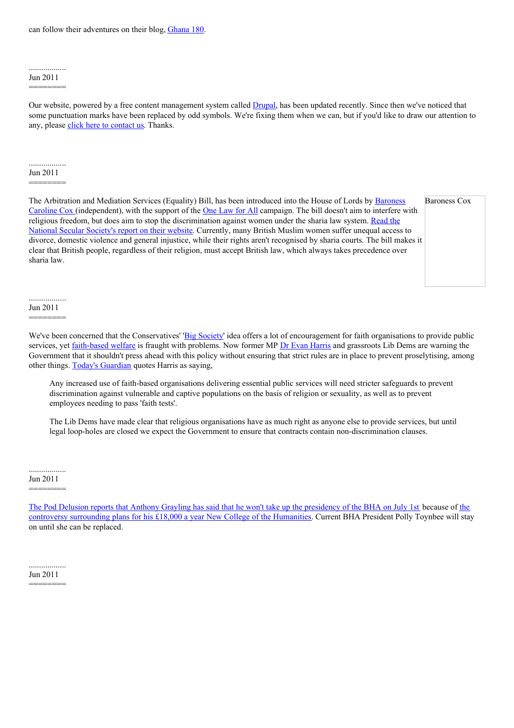can follow their adventures on their blog, [Ghana](http://ghana180.co.uk/) 180.

#### .................. Jun 2011

========

Our website, powered by a free content management system called [Drupal,](http://drupal.org/) has been updated recently. Since then we've noticed that some punctuation marks have been replaced by odd symbols. We're fixing them when we can, but if you'd like to draw our attention to any, please click here to [contact](http://www.suffolkhands.org.uk/contact) us. Thanks.

#### .................. Jun 2011

========

The Arbitration and Mediation Services (Equality) Bill, has been introduced into the House of Lords by Baroness Caroline Cox [\(independent\),](http://www.parliament.uk/biographies/caroline-cox/26727) with the support of the One [Law](http://www.onelawforall.org.uk/) for All campaign. The bill doesn't aim to interfere with religious freedom, but does aim to stop the [discrimination](http://www.secularism.org.uk/nss-backs-bill-that-would-curb-s.html) against women under the sharia law system. Read the National Secular Society's report on their website. Currently, many British Muslim women suffer unequal access to divorce, domestic violence and general injustice, while their rights aren't recognised by sharia courts. The bill makes it clear that British people, regardless of their religion, must accept British law, which always takes precedence over sharia law.

Baroness Cox

#### .................. Jun 2011

========

We've been concerned that the Conservatives' 'Big [Society](http://www.cabinetoffice.gov.uk/big-society)' idea offers a lot of encouragement for faith organisations to provide public services, yet [faith-based](http://www.secularism.org.uk/faith-based-welfare-arrives.html) welfare is fraught with problems. Now former MP Dr Evan [Harris](http://www.secularism.org.uk/dr-evan-harris.html) and grassroots Lib Dems are warning the Government that it shouldn't press ahead with this policy without ensuring that strict rules are in place to prevent proselytising, among other things. Today's [Guardian](http://www.guardian.co.uk/uk/2011/may/30/lib-dems-warning-big-society-faith-groups) quotes Harris as saying,

Any increased use of faith-based organisations delivering essential public services will need stricter safeguards to prevent discrimination against vulnerable and captive populations on the basis of religion or sexuality, as well as to prevent employees needing to pass 'faith tests'.

The Lib Dems have made clear that religious organisations have as much right as anyone else to provide services, but until legal loop-holes are closed we expect the Government to ensure that contracts contain non-discrimination clauses.

#### .................. Jun 2011

========

The Pod Delusion reports that Anthony Grayling has said that he won't take up the [presidency](http://poddelusion.co.uk/blog/2011/06/16/breaking-news-ac-grayling-will-not-become-bha-president/) of the BHA on July 1st because of the controversy surrounding plans for his £18,000 a year New College of the [Humanities.](http://blog.newhumanist.org.uk/2011/06/ac-graylings-new-college-of-humanities.html) Current BHA President Polly Toynbee will stay on until she can be replaced.

.................. Jun 2011

========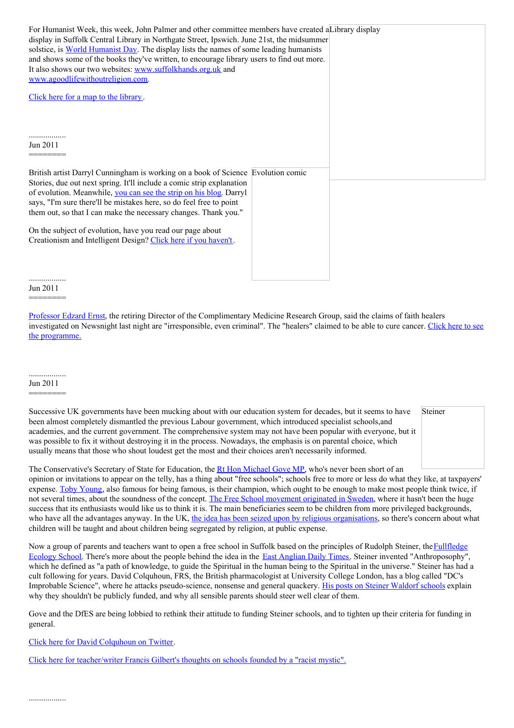| For Humanist Week, this week, John Palmer and other committee members have created a Library display |  |
|------------------------------------------------------------------------------------------------------|--|
| display in Suffolk Central Library in Northgate Street, Ipswich. June 21st, the midsummer            |  |
| solstice, is World Humanist Day. The display lists the names of some leading humanists               |  |
| and shows some of the books they've written, to encourage library users to find out more.            |  |
| It also shows our two websites: www.suffolkhands.org.uk and                                          |  |
|                                                                                                      |  |
| www.agoodlifewithoutreligion.com.                                                                    |  |
|                                                                                                      |  |
| Click here for a map to the library.                                                                 |  |
|                                                                                                      |  |
|                                                                                                      |  |
|                                                                                                      |  |
|                                                                                                      |  |
| Jun 2011                                                                                             |  |
|                                                                                                      |  |
|                                                                                                      |  |
| British artist Darryl Cunningham is working on a book of Science Evolution comic                     |  |
| Stories, due out next spring. It'll include a comic strip explanation                                |  |
| of evolution. Meanwhile, you can see the strip on his blog. Darryl                                   |  |
| says, "I'm sure there'll be mistakes here, so do feel free to point                                  |  |
| them out, so that I can make the necessary changes. Thank you."                                      |  |
|                                                                                                      |  |
| On the subject of evolution, have you read our page about                                            |  |
| Creationism and Intelligent Design? Click here if you haven't.                                       |  |
|                                                                                                      |  |
|                                                                                                      |  |
|                                                                                                      |  |
|                                                                                                      |  |

## Jun 2011 ========

[Professor](http://www.suffolkhands.org.uk/node/1327) Edzard Ernst, the retiring Director of the Complimentary Medicine Research Group, said the claims of faith healers investigated on Newsnight last night are ["irresponsible,](http://news.bbc.co.uk/1/hi/programmes/newsnight/9519657.stm) even criminal". The "healers" claimed to be able to cure cancer. Click here to see the programme.

# Jun 2011

========

Successive UK governments have been mucking about with our education system for decades, but it seems to have been almost completely dismantled the previous Labour government, which introduced specialist schools,and academies, and the current government. The comprehensive system may not have been popular with everyone, but it was possible to fix it without destroying it in the process. Nowadays, the emphasis is on parental choice, which usually means that those who shout loudest get the most and their choices aren't necessarily informed.

Steiner

The Conservative's Secretary of State for Education, the Rt Hon [Michael](http://www.michaelgove.com/) Gove MP, who's never been short of an opinion or invitations to appear on the telly, has a thing about "free schools"; schools free to more or less do what they like, at taxpayers' expense. Toby [Young](http://blogs.telegraph.co.uk/news/author/tobyyoung/), also famous for being famous, is their champion, which ought to be enough to make most people think twice, if not several times, about the soundness of the concept. The Free School [movement](http://www.independent.co.uk/news/education/education-news/swedens-free-schools-model-has-limited-impact-2008070.html) originated in Sweden, where it hasn't been the huge success that its enthusiasts would like us to think it is. The main beneficiaries seem to be children from more privileged backgrounds, who have all the advantages anyway. In the UK, the idea has been seized upon by religious [organisations](http://www.secularism.org.uk/michael-gove-in-religious-school.html), so there's concern about what children will be taught and about children being segregated by religion, at public expense.

Now a group of parents and teachers want to open a free school in Suffolk based on the principles of Rudolph Steiner, the Fullfledge Ecology School. There's more about the people behind the idea in the East [Anglian](http://www.eadt.co.uk/news/woodbridge_ambitious_plans_for_new_ecology_school_unveiled_by_fullfledge_trust_1_828126) Daily Times. Steiner invented ["Anthroposophy"](http://www.medical365.co.uk/), which he defined as "a path of knowledge, to guide the Spiritual in the human being to the Spiritual in the universe." Steiner has had a cult following for years. David Colquhoun, FRS, the British pharmacologist at University College London, has a blog called "DC's Improbable Science", where he attacks pseudo-science, nonsense and general quackery. His posts on Steiner [Waldorf](http://www.dcscience.net/?s=Steiner+Waldorf+) schools explain why they shouldn't be publicly funded, and why all sensible parents should steer well clear of them.

Gove and the DfES are being lobbied to rethink their attitude to funding Steiner schools, and to tighten up their criteria for funding in general.

Click here for David [Colquhoun](https://twitter.com/#!/david_colquhoun) on Twitter.

Click here for [teacher/writer](http://www.francisgilbert.co.uk/2011/01/should-the-state-be-funding-schools-which-were-founded-by-a-racist-mystic/) Francis Gilbert's thoughts on schools founded by a "racist mystic".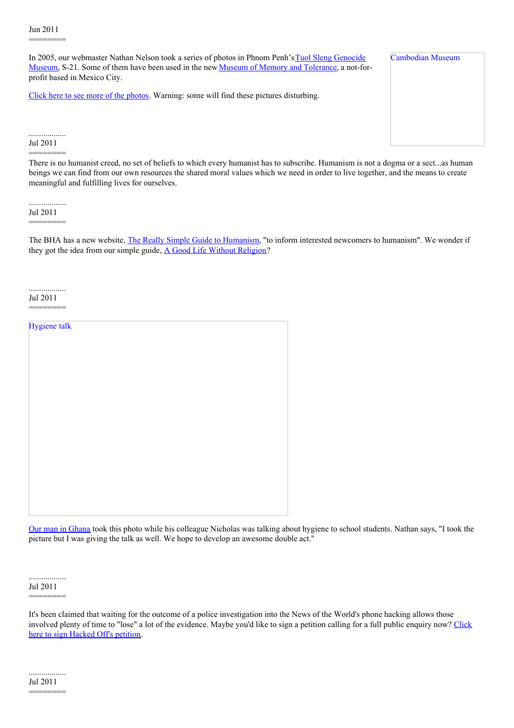Jul 2011 ========

..................

## Jun 2011 ========

In 2005, our webmaster Nathan Nelson took a series of photos in Phnom Penh's Tuol Sleng Genocide Museum, S-21. Some of them have been used in the new Museum of Memory and [Tolerance](http://www.myt.org.mx/), a not-forprofit based in Mexico City.

Click here to see more of the [photos](http://www.flickr.com/photos/mybigtrip/sets/671304/). Warning: some will find these pictures disturbing.

#### .................. Jul 2011 ========

There is no humanist creed, no set of beliefs to which every humanist has to subscribe. Humanism is not a dogma or a sect...as human beings we can find from our own resources the shared moral values which we need in order to live together, and the means to create meaningful and fulfilling lives for ourselves.

.................. Jul 2011 ========

The BHA has a new website, The Really Simple Guide to [Humanism](http://www.simpleguidetohumanism.org.uk/index.html), "to inform interested newcomers to humanism". We wonder if they got the idea from our simple guide, A Good Life Without [Religion](http://agoodlifewithoutreligion.com/)?

.................. Jul 2011 ========

| Hygiene talk |  |  |
|--------------|--|--|
|              |  |  |
|              |  |  |
|              |  |  |
|              |  |  |
|              |  |  |
|              |  |  |
|              |  |  |
|              |  |  |
|              |  |  |
|              |  |  |
|              |  |  |
|              |  |  |
|              |  |  |

Our man in [Ghana](http://ghana180.co.uk/) took this photo while his colleague Nicholas was talking about hygiene to school students. Nathan says, "I took the picture but I was giving the talk as well. We hope to develop an awesome double act."

.................. Jul 2011

========

It's been claimed that waiting for the outcome of a police investigation into the News of the World's phone hacking allows those involved plenty of time to "lose" a lot of the [evidence.](http://hackinginquiry.org/index.php) Maybe you'd like to sign a petition calling for a full public enquiry now? Click here to sign Hacked Off's petition.

Cambodian Museum

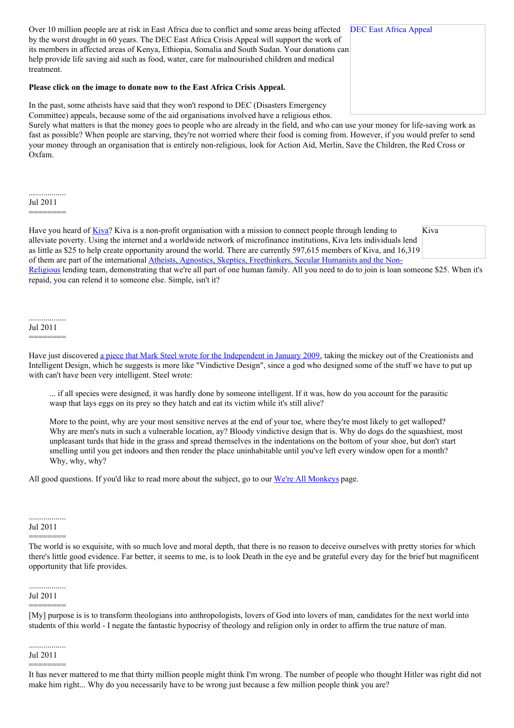Over 10 million people are at risk in East Africa due to conflict and some areas being affected DEC East Africa Appeal by the worst drought in 60 years. The DEC East Africa Crisis Appeal will support the work of its members in affected areas of Kenya, Ethiopia, Somalia and South Sudan. Your donations can help provide life saving aid such as food, water, care for malnourished children and medical treatment.

#### **Please click on the image to donate now to the East Africa Crisis Appeal.**

In the past, some atheists have said that they won't respond to DEC (Disasters Emergency Committee) appeals, because some of the aid organisations involved have a religious ethos.

Surely what matters is that the money goes to people who are already in the field, and who can use your money for life-saving work as fast as possible? When people are starving, they're not worried where their food is coming from. However, if you would prefer to send your money through an organisation that is entirely non-religious, look for Action Aid, Merlin, Save the Children, the Red Cross or Oxfam.

.................. Jul 2011

========

Kiva Have you heard of [Kiva](http://www.kiva.org/)? Kiva is a non-profit organisation with a mission to connect people through lending to alleviate poverty. Using the internet and a worldwide network of microfinance institutions, Kiva lets individuals lend as little as \$25 to help create opportunity around the world. There are currently 597,615 members of Kiva, and 16,319 of them are part of the international Atheists, Agnostics, Skeptics, Freethinkers, Secular Humanists and the Non-Religious lending team, [demonstrating](http://www.kiva.org/team/atheists) that we're all part of one human family. All you need to do to join is loan someone \$25. When it's repaid, you can relend it to someone else. Simple, isn't it?

#### .................. Jul 2011

# ========

Have just discovered a piece that Mark Steel wrote for the [Independent](http://www.independent.co.uk/opinion/commentators/mark-steel/mark-steel-what-creationists-really-hate-is-that-we-emerged-by-accident-1229954.html) in January 2009, taking the mickey out of the Creationists and Intelligent Design, which he suggests is more like "Vindictive Design", since a god who designed some of the stuff we have to put up with can't have been very intelligent. Steel wrote:

... if all species were designed, it was hardly done by someone intelligent. If it was, how do you account for the parasitic wasp that lays eggs on its prey so they hatch and eat its victim while it's still alive?

More to the point, why are your most sensitive nerves at the end of your toe, where they're most likely to get walloped? Why are men's nuts in such a vulnerable location, ay? Bloody vindictive design that is. Why do dogs do the squashiest, most unpleasant turds that hide in the grass and spread themselves in the indentations on the bottom of your shoe, but don't start smelling until you get indoors and then render the place uninhabitable until you've left every window open for a month? Why, why, why?

All good questions. If you'd like to read more about the subject, go to our We're All [Monkeys](http://www.suffolkhands.org.uk/monkeys) page.

#### .................. Jul 2011

========

The world is so exquisite, with so much love and moral depth, that there is no reason to deceive ourselves with pretty stories for which there's little good evidence. Far better, it seems to me, is to look Death in the eye and be grateful every day for the brief but magnificent opportunity that life provides.

# .................. Jul 2011 ========

[My] purpose is is to transform theologians into anthropologists, lovers of God into lovers of man, candidates for the next world into students of this world - I negate the fantastic hypocrisy of theology and religion only in order to affirm the true nature of man.

.................. Jul 2011

========

It has never mattered to me that thirty million people might think I'm wrong. The number of people who thought Hitler was right did not make him right... Why do you necessarily have to be wrong just because a few million people think you are?

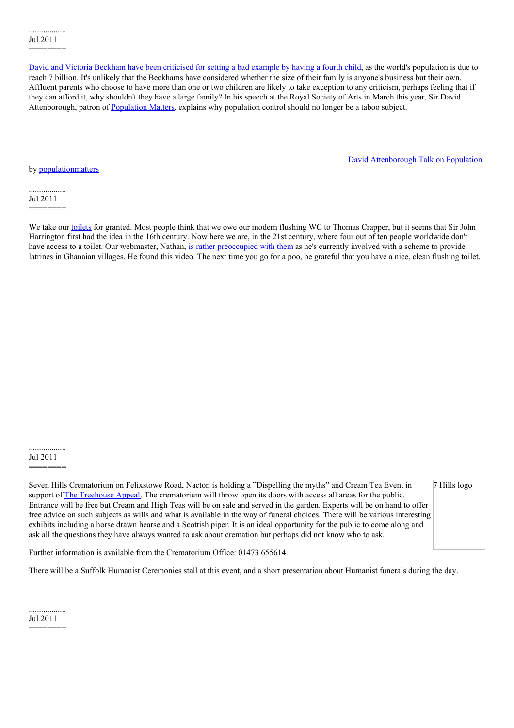David and Victoria [Beckham](http://www.guardian.co.uk/lifeandstyle/2011/jul/17/population-control-beckham-family) have been criticised for setting a bad example by having a fourth child, as the world's population is due to reach 7 billion. It's unlikely that the Beckhams have considered whether the size of their family is anyone's business but their own. Affluent parents who choose to have more than one or two children are likely to take exception to any criticism, perhaps feeling that if they can afford it, why shouldn't they have a large family? In his speech at the Royal Society of Arts in March this year, Sir David Attenborough, patron of [Population](http://populationmatters.org/) Matters, explains why population control should no longer be a taboo subject.

David [Attenborough](http://soundcloud.com/populationmatters/attenborough-population) Talk on Population

by [populationmatters](http://soundcloud.com/populationmatters)

.................. Jul 2011 ========

We take our [toilets](http://www.toiletmuseum.com/index.php) for granted. Most people think that we owe our modern flushing WC to Thomas Crapper, but it seems that Sir John Harrington first had the idea in the 16th century. Now here we are, in the 21st century, where four out of ten people worldwide don't have access to a toilet. Our webmaster, Nathan, is rather [preoccupied](http://ghana180.co.uk/2011/07/how-to-use-a-toilet/) with them as he's currently involved with a scheme to provide latrines in Ghanaian villages. He found this video. The next time you go for a poo, be grateful that you have a nice, clean flushing toilet.

.................. Jul 2011

========

Seven Hills Crematorium on Felixstowe Road, Nacton is holding a "Dispelling the myths" and Cream Tea Event in support of The [Treehouse](http://www.each.org.uk/how-to-help/treehouse_appeal) Appeal. The crematorium will throw open its doors with access all areas for the public. Entrance will be free but Cream and High Teas will be on sale and served in the garden. Experts will be on hand to offer free advice on such subjects as wills and what is available in the way of funeral choices. There will be various interesting exhibits including a horse drawn hearse and a Scottish piper. It is an ideal opportunity for the public to come along and ask all the questions they have always wanted to ask about cremation but perhaps did not know who to ask.

7 Hills logo

Further information is available from the Crematorium Office: 01473 655614.

There will be a Suffolk Humanist Ceremonies stall at this event, and a short presentation about Humanist funerals during the day.

.................. Jul 2011 ========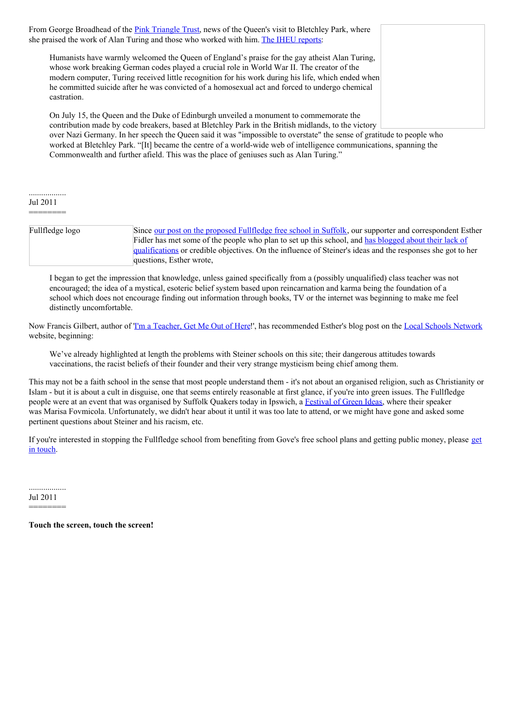From George Broadhead of the Pink [Triangle](http://www.pinktriangle.org.uk/) Trust, news of the Queen's visit to Bletchley Park, where she praised the work of Alan Turing and those who worked with him. The IHEU [reports](http://www.iheu.org/humanists-welcome-queen%25E2%2580%2599s-praise-persecuted-gay-atheist): Humanists have warmly welcomed the Queen of England's praise for the gay atheist Alan Turing, whose work breaking German codes played a crucial role in World War II. The creator of the modern computer, Turing received little recognition for his work during his life, which ended when he committed suicide after he was convicted of a homosexual act and forced to undergo chemical castration. On July 15, the Queen and the Duke of Edinburgh unveiled a monument to commemorate the contribution made by code breakers, based at Bletchley Park in the British midlands, to the victory

over Nazi Germany. In her speech the Queen said it was "impossible to overstate" the sense of gratitude to people who worked at Bletchley Park. "[It] became the centre of a world-wide web of intelligence communications, spanning the Commonwealth and further afield. This was the place of geniuses such as Alan Turing."

.................. Jul 2011

========

| Fullfledge logo | Since <u>our post on the proposed Fullfledge free school in Suffolk</u> , our supporter and correspondent Esther |
|-----------------|------------------------------------------------------------------------------------------------------------------|
|                 | Fidler has met some of the people who plan to set up this school, and has blogged about their lack of            |
|                 | qualifications or credible objectives. On the influence of Steiner's ideas and the responses she got to her      |
|                 | questions, Esther wrote,                                                                                         |

I began to get the impression that knowledge, unless gained specifically from a (possibly unqualified) class teacher was not encouraged; the idea of a mystical, esoteric belief system based upon reincarnation and karma being the foundation of a school which does not encourage finding out information through books, TV or the internet was beginning to make me feel distinctly uncomfortable.

Now Francis Gilbert, author of Tm a [Teacher,](http://www.amazon.co.uk/Im-Teacher-Get-Out-Here/dp/1904977022/ref=sr_1_2?s=books&ie=UTF8&qid=1311437239&sr=1-2) Get Me Out of Here!', has recommended Esther's blog post on the Local Schools [Network](http://www.localschoolsnetwork.org.uk/2011/07/some-very-good-reasons-to-be-wary-of-ecological-free-schools/) website, beginning:

We've already highlighted at length the problems with Steiner schools on this site; their dangerous attitudes towards vaccinations, the racist beliefs of their founder and their very strange mysticism being chief among them.

This may not be a faith school in the sense that most people understand them - it's not about an organised religion, such as Christianity or Islam - but it is about a cult in disguise, one that seems entirely reasonable at first glance, if you're into green issues. The Fullfledge people were at an event that was organised by Suffolk Quakers today in Ipswich, a [Festival](http://www.suffolkquakers.org.uk/green-ideas.htm) of Green Ideas, where their speaker was Marisa Fovmicola. Unfortunately, we didn't hear about it until it was too late to attend, or we might have gone and asked some pertinent questions about Steiner and his racism, etc.

If you're interested in stopping the [Fullfledge](http://www.suffolkhands.org.uk/contact) school from benefiting from Gove's free school plans and getting public money, please get in touch.

.................. Jul 2011

========

**Touch the screen, touch the screen!**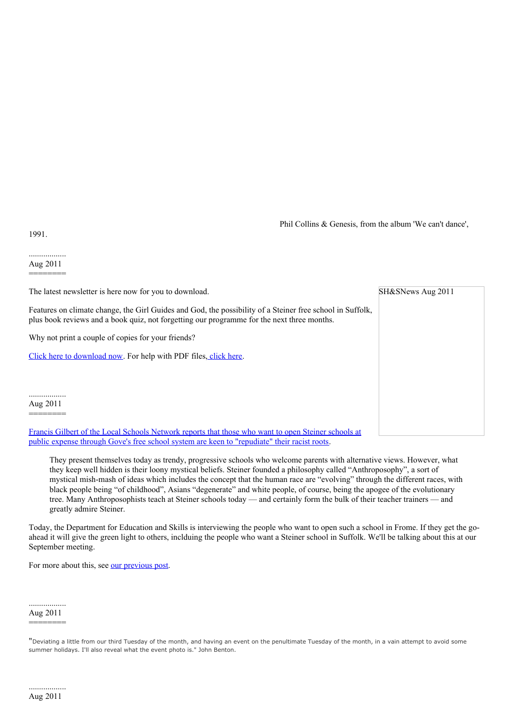Phil Collins & Genesis, from the album 'We can't dance',

SH&SNews Aug 2011

1991.

.................. Aug 2011 ========

The latest newsletter is here now for you to download.

Features on climate change, the Girl Guides and God, the possibility of a Steiner free school in Suffolk, plus book reviews and a book quiz, not forgetting our programme for the next three months.

Why not print a couple of copies for your friends?

Click here to [download](http://www.suffolkhands.org.uk/files/1/SH&S%20News%20Aug%202011.pdf) now. For help with PDF files, [click](http://www.suffolkhands.org.uk/node/40) here.

.................. Aug 2011 ========

Francis Gilbert of the Local Schools Network reports that those who want to open Steiner schools at public expense through Gove's free school system are keen to ["repudiate"](http://www.localschoolsnetwork.org.uk/2011/07/steiner-schools-repudiate-their-founders-racist-beliefs-to-get-state-funding-but-will-it-be-enough/) their racist roots.

They present themselves today as trendy, progressive schools who welcome parents with alternative views. However, what they keep well hidden is their loony mystical beliefs. Steiner founded a philosophy called "Anthroposophy", a sort of mystical mish-mash of ideas which includes the concept that the human race are "evolving" through the different races, with black people being "of childhood", Asians "degenerate" and white people, of course, being the apogee of the evolutionary tree. Many Anthroposophists teach at Steiner schools today — and certainly form the bulk of their teacher trainers — and greatly admire Steiner.

Today, the Department for Education and Skills is interviewing the people who want to open such a school in Frome. If they get the goahead it will give the green light to others, inclduing the people who want a Steiner school in Suffolk. We'll be talking about this at our September meeting.

For more about this, see our [previous](http://www.suffolkhands.org.uk/node/1370) post.

.................. Aug 2011 ========

"Deviating <sup>a</sup> little from our third Tuesday of the month, and having an event on the penultimate Tuesday of the month, in <sup>a</sup> vain attempt to avoid some summer holidays. I'll also reveal what the event photo is." John Benton.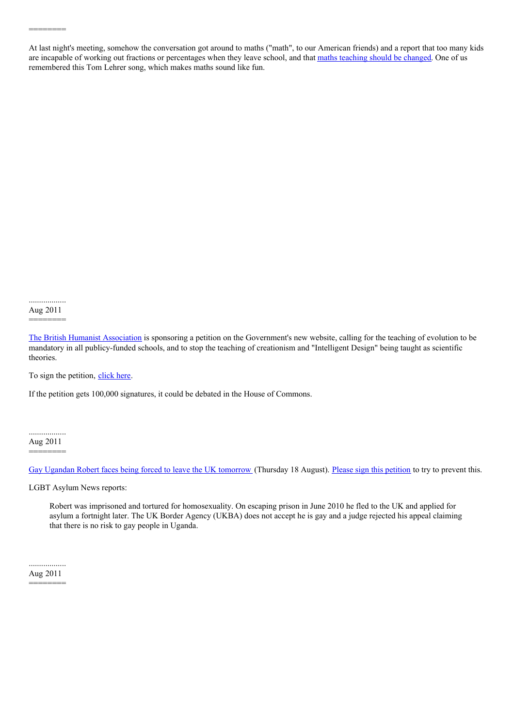At last night's meeting, somehow the conversation got around to maths ("math", to our American friends) and a report that too many kids are incapable of working out fractions or percentages when they leave school, and that maths [teaching](http://www.guardian.co.uk/commentisfree/2011/aug/08/school-subjects-carol-vorderman-maths) should be changed. One of us remembered this Tom Lehrer song, which makes maths sound like fun.

.................. Aug 2011

========

========

The British Humanist [Association](http://www.humanism.org.uk/news/view/871) is sponsoring a petition on the Government's new website, calling for the teaching of evolution to be mandatory in all publicy-funded schools, and to stop the teaching of creationism and "Intelligent Design" being taught as scientific theories.

To sign the petition, [click](http://epetitions.direct.gov.uk/petitions/1617) here.

If the petition gets 100,000 signatures, it could be debated in the House of Commons.

.................. Aug 2011 ========

Gay Ugandan Robert faces being forced to leave the UK [tomorrow](http://madikazemi.blogspot.com/2011/08/obviously-gay-ugandan-asylum-seeker.html) (Thursday 18 August). Please sign this [petition](http://www.change.org/petitions/save-gay-ugandan-robert-segwanyi) to try to prevent this.

LGBT Asylum News reports:

Robert was imprisoned and tortured for homosexuality. On escaping prison in June 2010 he fled to the UK and applied for asylum a fortnight later. The UK Border Agency (UKBA) does not accept he is gay and a judge rejected his appeal claiming that there is no risk to gay people in Uganda.

.................. Aug 2011 ========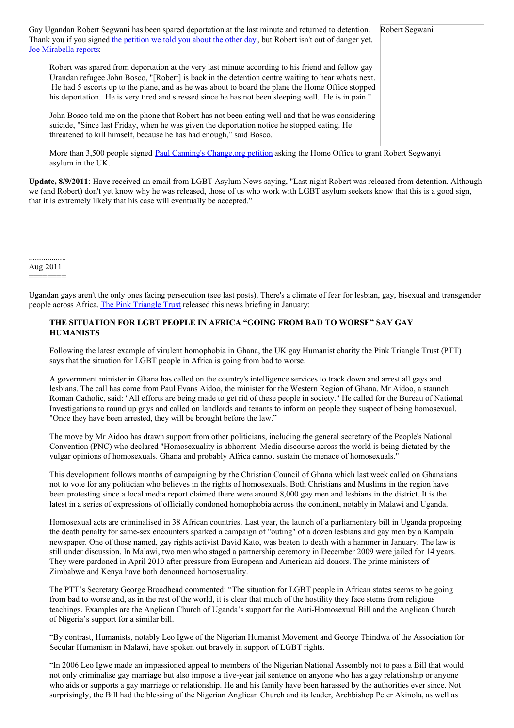| Gay Ugandan Robert Segwani has been spared deportation at the last minute and returned to detention.<br>Thank you if you signed the petition we told you about the other day, but Robert isn't out of danger yet.<br><b>Joe Mirabella reports:</b>                                                                                                                                                                 | Robert Segwani |
|--------------------------------------------------------------------------------------------------------------------------------------------------------------------------------------------------------------------------------------------------------------------------------------------------------------------------------------------------------------------------------------------------------------------|----------------|
| Robert was spared from deportation at the very last minute according to his friend and fellow gay<br>Urandan refugee John Bosco, "[Robert] is back in the detention centre waiting to hear what's next.<br>He had 5 escorts up to the plane, and as he was about to board the plane the Home Office stopped<br>his deportation. He is very tired and stressed since he has not been sleeping well. He is in pain." |                |
| John Bosco told me on the phone that Robert has not been eating well and that he was considering<br>suicide, "Since last Friday, when he was given the deportation notice he stopped eating. He<br>threatened to kill himself, because he has had enough," said Bosco.                                                                                                                                             |                |

More than 3,500 people signed Paul Canning's [Change.org](http://www.change.org/petitions/save-gay-ugandan-robert-segwanyi) petition asking the Home Office to grant Robert Segwanyi asylum in the UK.

**Update, 8/9/2011**: Have received an email from LGBT Asylum News saying, "Last night Robert was released from detention. Although we (and Robert) don't yet know why he was released, those of us who work with LGBT asylum seekers know that this is a good sign, that it is extremely likely that his case will eventually be accepted."

.................. Aug 2011

========

Ugandan gays aren't the only ones facing persecution (see last posts). There's a climate of fear for lesbian, gay, bisexual and transgender people across Africa. The Pink [Triangle](http://www.pinktriangle.org.uk/) Trust released this news briefing in January:

# **THE SITUATION FOR LGBT PEOPLE IN AFRICA "GOING FROM BAD TO WORSE" SAY GAY HUMANISTS**

Following the latest example of virulent homophobia in Ghana, the UK gay Humanist charity the Pink Triangle Trust (PTT) says that the situation for LGBT people in Africa is going from bad to worse.

A government minister in Ghana has called on the country's intelligence services to track down and arrest all gays and lesbians. The call has come from Paul Evans Aidoo, the minister for the Western Region of Ghana. Mr Aidoo, a staunch Roman Catholic, said: "All efforts are being made to get rid of these people in society." He called for the Bureau of National Investigations to round up gays and called on landlords and tenants to inform on people they suspect of being homosexual. "Once they have been arrested, they will be brought before the law."

The move by Mr Aidoo has drawn support from other politicians, including the general secretary of the People's National Convention (PNC) who declared "Homosexuality is abhorrent. Media discourse across the world is being dictated by the vulgar opinions of homosexuals. Ghana and probably Africa cannot sustain the menace of homosexuals."

This development follows months of campaigning by the Christian Council of Ghana which last week called on Ghanaians not to vote for any politician who believes in the rights of homosexuals. Both Christians and Muslims in the region have been protesting since a local media report claimed there were around 8,000 gay men and lesbians in the district. It is the latest in a series of expressions of officially condoned homophobia across the continent, notably in Malawi and Uganda.

Homosexual acts are criminalised in 38 African countries. Last year, the launch of a parliamentary bill in Uganda proposing the death penalty for same-sex encounters sparked a campaign of "outing" of a dozen lesbians and gay men by a Kampala newspaper. One of those named, gay rights activist David Kato, was beaten to death with a hammer in January. The law is still under discussion. In Malawi, two men who staged a partnership ceremony in December 2009 were jailed for 14 years. They were pardoned in April 2010 after pressure from European and American aid donors. The prime ministers of Zimbabwe and Kenya have both denounced homosexuality.

The PTT's Secretary George Broadhead commented: "The situation for LGBT people in African states seems to be going from bad to worse and, as in the rest of the world, it is clear that much of the hostility they face stems from religious teachings. Examples are the Anglican Church of Uganda's support for the Anti-Homosexual Bill and the Anglican Church of Nigeria's support for a similar bill.

"By contrast, Humanists, notably Leo Igwe of the Nigerian Humanist Movement and George Thindwa of the Association for Secular Humanism in Malawi, have spoken out bravely in support of LGBT rights.

"In 2006 Leo Igwe made an impassioned appeal to members of the Nigerian National Assembly not to pass a Bill that would not only criminalise gay marriage but also impose a five-year jail sentence on anyone who has a gay relationship or anyone who aids or supports a gay marriage or relationship. He and his family have been harassed by the authorities ever since. Not surprisingly, the Bill had the blessing of the Nigerian Anglican Church and its leader, Archbishop Peter Akinola, as well as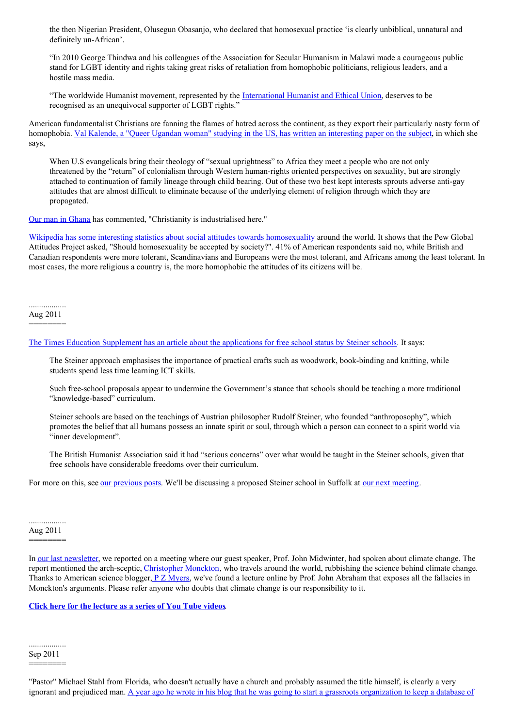the then Nigerian President, Olusegun Obasanjo, who declared that homosexual practice 'is clearly unbiblical, unnatural and definitely un-African'.

"In 2010 George Thindwa and his colleagues of the Association for Secular Humanism in Malawi made a courageous public stand for LGBT identity and rights taking great risks of retaliation from homophobic politicians, religious leaders, and a hostile mass media.

"The worldwide Humanist movement, represented by the [International](http://www.iheu.org/) Humanist and Ethical Union, deserves to be recognised as an unequivocal supporter of LGBT rights."

American fundamentalist Christians are fanning the flames of hatred across the continent, as they export their particularly nasty form of homophobia. Val Kalende, a "Queer Ugandan woman" studying in the US, has written an [interesting](http://valkalende.blogspot.com/2011/06/how-christian-right-fundamentalists-are.html) paper on the subject, in which she says,

When U.S evangelicals bring their theology of "sexual uprightness" to Africa they meet a people who are not only threatened by the "return" of colonialism through Western human-rights oriented perspectives on sexuality, but are strongly attached to continuation of family lineage through child bearing. Out of these two best kept interests sprouts adverse anti-gay attitudes that are almost difficult to eliminate because of the underlying element of religion through which they are propagated.

Our man in [Ghana](http://ghana180.co.uk/) has commented, "Christianity is industrialised here."

Wikipedia has some interesting statistics about social attitudes towards [homosexuality](http://en.wikipedia.org/wiki/Societal_attitudes_toward_homosexuality) around the world. It shows that the Pew Global Attitudes Project asked, "Should homosexuality be accepted by society?". 41% of American respondents said no, while British and Canadian respondents were more tolerant, Scandinavians and Europeans were the most tolerant, and Africans among the least tolerant. In most cases, the more religious a country is, the more homophobic the attitudes of its citizens will be.

.................. Aug 2011

========

The Times Education Supplement has an article about the [applications](http://www.tes.co.uk/article.aspx?storycode=6109281) for free school status by Steiner schools. It says:

The Steiner approach emphasises the importance of practical crafts such as woodwork, book-binding and knitting, while students spend less time learning ICT skills.

Such free-school proposals appear to undermine the Government's stance that schools should be teaching a more traditional "knowledge-based" curriculum.

Steiner schools are based on the teachings of Austrian philosopher Rudolf Steiner, who founded "anthroposophy", which promotes the belief that all humans possess an innate spirit or soul, through which a person can connect to a spirit world via "inner development".

The British Humanist Association said it had "serious concerns" over what would be taught in the Steiner schools, given that free schools have considerable freedoms over their curriculum.

For more on this, see our [previous](http://www.suffolkhands.org.uk/search/node/Steiner) posts. We'll be discussing a proposed Steiner school in Suffolk at our next [meeting](http://www.suffolkhands.org.uk/node/1315).

# .................. Aug 2011 ========

In our last [newsletter](https://html2pdf.com/files/1/SH%2526S%20News%20Aug%202011.pdf), we reported on a meeting where our guest speaker, Prof. John Midwinter, had spoken about climate change. The report mentioned the arch-sceptic, [Christopher](http://www.guardian.co.uk/environment/2007/may/06/observerreview.climatechange) Monckton, who travels around the world, rubbishing the science behind climate change. Thanks to American science blogger,  $P Z$  [Myers](http://scienceblogs.com/pharyngula/), we've found a lecture online by Prof. John Abraham that exposes all the fallacies in Monckton's arguments. Please refer anyone who doubts that climate change is our responsibility to it.

## **Click here for the [lecture](http://www.youtube.com/watch?v=SjhNVSZmLF4&list=PL195879BC3C5EEB08) as a series of You Tube videos**.

.................. Sep 2011 ========

"Pastor" Michael Stahl from Florida, who doesn't actually have a church and probably assumed the title himself, is clearly a very ignorant and prejudiced man. A year ago he wrote in his blog that he was going to start a grassroots [organization](http://blogs.browardpalmbeach.com/pulp/2011/08/atheist_national_registry_prop.php) to keep a database of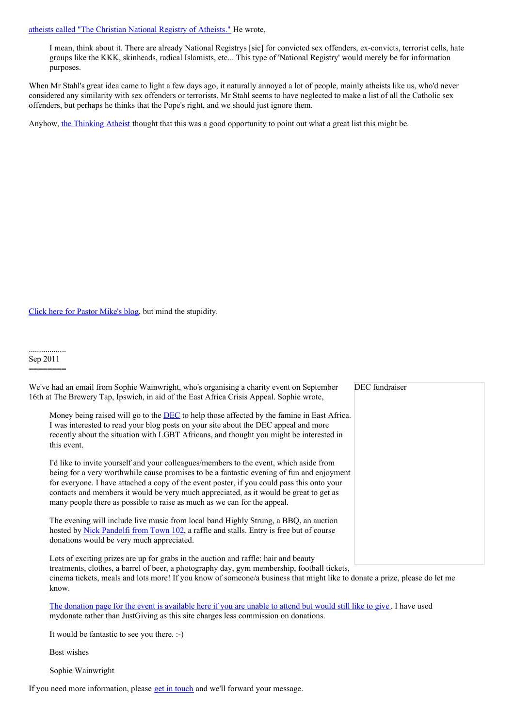# atheists called "The Christian National Registry of Atheists." He wrote,

I mean, think about it. There are already National Registrys [sic] for convicted sex offenders, ex-convicts, terrorist cells, hate groups like the KKK, skinheads, radical Islamists, etc... This type of 'National Registry' would merely be for information purposes.

When Mr Stahl's great idea came to light a few days ago, it naturally annoyed a lot of people, mainly atheists like us, who'd never considered any similarity with sex offenders or terrorists. Mr Stahl seems to have neglected to make a list of all the Catholic sex offenders, but perhaps he thinks that the Pope's right, and we should just ignore them.

Anyhow, the [Thinking](http://www.youtube.com/user/TheThinkingAtheist) Atheist thought that this was a good opportunity to point out what a great list this might be.

Click here for Pastor [Mike's](http://www.pastormikeschurch.blogspot.com/) blog, but mind the stupidity.

#### .................. Sep 2011

========

| We've had an email from Sophie Wainwright, who's organising a charity event on September<br>16th at The Brewery Tap, Ipswich, in aid of the East Africa Crisis Appeal. Sophie wrote,                                                                                                                                                                                                                                                                    | DEC fundraiser |
|---------------------------------------------------------------------------------------------------------------------------------------------------------------------------------------------------------------------------------------------------------------------------------------------------------------------------------------------------------------------------------------------------------------------------------------------------------|----------------|
| Money being raised will go to the <b>DEC</b> to help those affected by the famine in East Africa.<br>I was interested to read your blog posts on your site about the DEC appeal and more<br>recently about the situation with LGBT Africans, and thought you might be interested in<br>this event.                                                                                                                                                      |                |
| I'd like to invite yourself and your colleagues/members to the event, which aside from<br>being for a very worthwhile cause promises to be a fantastic evening of fun and enjoyment<br>for everyone. I have attached a copy of the event poster, if you could pass this onto your<br>contacts and members it would be very much appreciated, as it would be great to get as<br>many people there as possible to raise as much as we can for the appeal. |                |
| The evening will include live music from local band Highly Strung, a BBQ, an auction<br>hosted by Nick Pandolfi from Town 102, a raffle and stalls. Entry is free but of course<br>donations would be very much appreciated.                                                                                                                                                                                                                            |                |
| Lots of exciting prizes are up for grabs in the auction and raffle: hair and beauty<br>treatments, clothes, a barrel of beer, a photography day, gym membership, football tickets,                                                                                                                                                                                                                                                                      |                |

cinema tickets, meals and lots more! If you know of someone/a business that might like to donate a prize, please do let me know.

The donation page for the event is [available](https://mydonate.bt.com/fundraisers/sophiewainwright) here if you are unable to attend but would still like to give . I have used mydonate rather than JustGiving as this site charges less commission on donations.

It would be fantastic to see you there. :-)

Best wishes

Sophie Wainwright

If you need more information, please get in [touch](http://www.suffolkhands.org.uk/contact) and we'll forward your message.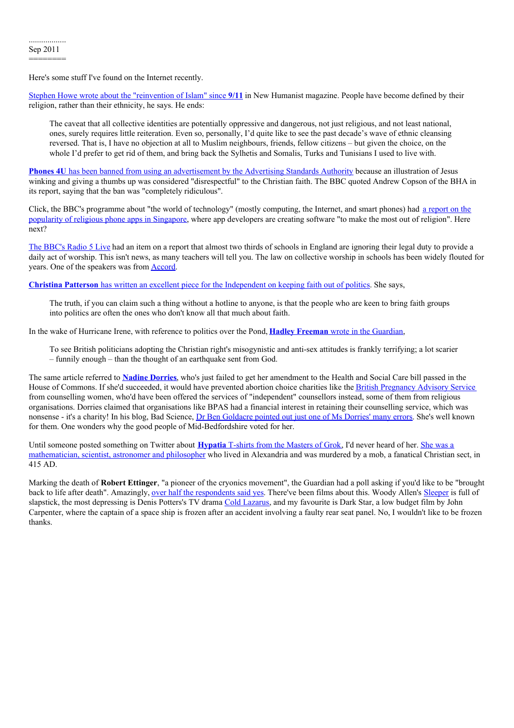Here's some stuff I've found on the Internet recently.

Stephen Howe wrote about the ["reinvention](http://newhumanist.org.uk/2646/aftershock-911-ten-years-on) of Islam" since **9/11** in New Humanist magazine. People have become defined by their religion, rather than their ethnicity, he says. He ends:

The caveat that all collective identities are potentially oppressive and dangerous, not just religious, and not least national, ones, surely requires little reiteration. Even so, personally, I'd quite like to see the past decade's wave of ethnic cleansing reversed. That is, I have no objection at all to Muslim neighbours, friends, fellow citizens – but given the choice, on the whole I'd prefer to get rid of them, and bring back the Sylhetis and Somalis, Turks and Tunisians I used to live with.

**Phones 4U** has been banned from using an [advertisement](http://www.bbc.co.uk/news/business-14815616) by the Advertising [Standards](http://www.bbc.co.uk/news/business-14815616) Authority because an illustration of Jesus winking and giving a thumbs up was considered "disrespectful" to the Christian faith. The BBC quoted Andrew Copson of the BHA in its report, saying that the ban was "completely ridiculous".

Click, the BBC's programme about "the world of [technology"](http://news.bbc.co.uk/1/hi/programmes/click_online/9578162.stm) (mostly computing, the Internet, and smart phones) had a report on the popularity of religious phone apps in Singapore, where app developers are creating software "to make the most out of religion". Here next?

The [BBC's](http://www.bbc.co.uk/news/education-14809836) Radio 5 Live had an item on a report that almost two thirds of schools in England are ignoring their legal duty to provide a daily act of worship. This isn't news, as many teachers will tell you. The law on collective worship in schools has been widely flouted for years. One of the speakers was from [Accord](http://accordcoalition.org.uk/).

**Christina Patterson** has written an excellent piece for the [Independent](http://www.independent.co.uk/opinion/commentators/christina-patterson/christina-patterson-lets-keep-faith-out-of-politics-2346343.html) on keeping faith out of politics. She says,

The truth, if you can claim such a thing without a hotline to anyone, is that the people who are keen to bring faith groups into politics are often the ones who don't know all that much about faith.

In the wake of Hurricane Irene, with reference to politics over the Pond, **Hadley [Freeman](http://www.guardian.co.uk/commentisfree/cifamerica/2011/aug/30/hurricane-irene-misogynistic-attitudes-scarier)** wrote in the Guardian,

To see British politicians adopting the Christian right's misogynistic and anti-sex attitudes is frankly terrifying; a lot scarier  $-$  funnily enough  $-$  than the thought of an earthquake sent from God.

The same article referred to **Nadine [Dorries](http://www.independent.co.uk/news/uk/politics/lib-dem-blackmail-on-abortion-bid-2350667.html)**, who's just failed to get her amendment to the Health and Social Care bill passed in the House of Commons. If she'd succeeded, it would have prevented abortion choice charities like the British [Pregnancy](http://www.bpas.org/bpaswoman) Advisory Service from counselling women, who'd have been offered the services of "independent" counsellors instead, some of them from religious organisations. Dorries claimed that organisations like BPAS had a financial interest in retaining their counselling service, which was nonsense - it's a charity! In his blog, Bad Science, Dr Ben [Goldacre](http://www.badscience.net/2008/03/nadine-dorries-and-the-hand-of-hope/) pointed out just one of Ms Dorries' many errors. She's well known for them. One wonders why the good people of Mid-Bedfordshire voted for her.

Until someone posted something on Twitter about **[Hypatia](http://monstersofgrok.com/design/hypatia/)** T-shirts from the Masters of Grok, I'd never heard of her. She was a [mathematician,](http://en.wikipedia.org/wiki/Hypatia) scientist, astronomer and philosopher who lived in Alexandria and was murdered by a mob, a fanatical Christian sect, in 415 AD.

Marking the death of **Robert Ettinger**, "a pioneer of the cryonics movement", the Guardian had a poll asking if you'd like to be "brought back to life after death". Amazingly, over half the [respondents](http://www.guardian.co.uk/commentisfree/poll/2011/jul/26/cryonics-robert-ettinger) said yes. There've been films about this. Woody Allen's [Sleeper](http://en.wikipedia.org/wiki/Sleeper_(film)) is full of slapstick, the most depressing is Denis Potters's TV drama Cold [Lazarus](http://en.wikipedia.org/wiki/Cold_Lazarus), and my favourite is Dark Star, a low budget film by John Carpenter, where the captain of a space ship is frozen after an accident involving a faulty rear seat panel. No, I wouldn't like to be frozen thanks.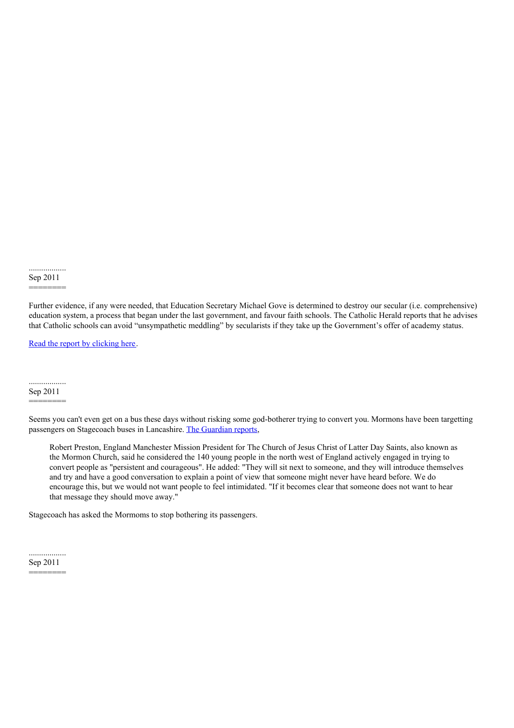.................. Sep 2011

# ========

Further evidence, if any were needed, that Education Secretary Michael Gove is determined to destroy our secular (i.e. comprehensive) education system, a process that began under the last government, and favour faith schools. The Catholic Herald reports that he advises that Catholic schools can avoid "unsympathetic meddling" by secularists if they take up the Government's offer of academy status.

Read the report by [clicking](http://www.catholicherald.co.uk/news/2011/02/16/michael-gove-catholic-schools-can-escape-%25E2%2580%2598meddling%25E2%2580%2599-by-becoming-academies/) here.

#### .................. Sep 2011

# ========

Seems you can't even get on a bus these days without risking some god-botherer trying to convert you. Mormons have been targetting passengers on Stagecoach buses in Lancashire. The [Guardian](http://www.guardian.co.uk/world/the-northerner/2011/sep/14/mormons-lancaster-bus-passengers) reports,

Robert Preston, England Manchester Mission President for The Church of Jesus Christ of Latter Day Saints, also known as the Mormon Church, said he considered the 140 young people in the north west of England actively engaged in trying to convert people as "persistent and courageous". He added: "They will sit next to someone, and they will introduce themselves and try and have a good conversation to explain a point of view that someone might never have heard before. We do encourage this, but we would not want people to feel intimidated. "If it becomes clear that someone does not want to hear that message they should move away."

Stagecoach has asked the Mormoms to stop bothering its passengers.

.................. Sep 2011 ========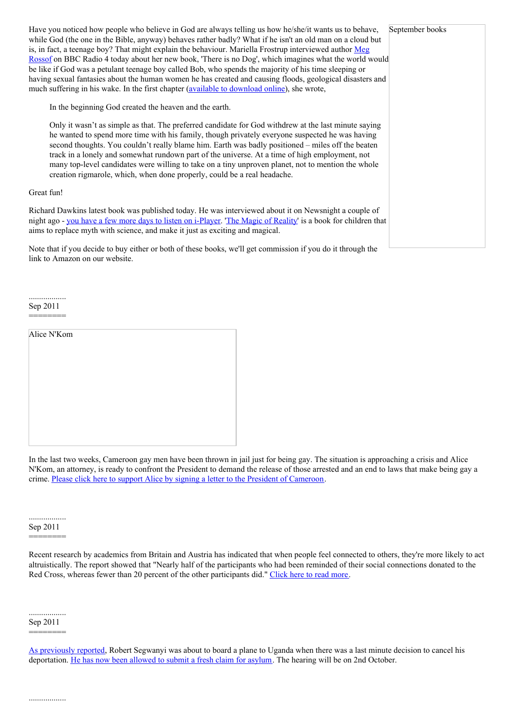Have you noticed how people who believe in God are always telling us how he/she/it wants us to behave, September books while God (the one in the Bible, anyway) behaves rather badly? What if he isn't an old man on a cloud but is, in fact, a teenage boy? That might explain the behaviour. Mariella Frostrup [interviewed](http://www.megrosoff.co.uk/books/there-is-no-dog/) author Meg Rossof on BBC Radio 4 today about her new book, 'There is no Dog', which imagines what the world would be like if God was a petulant teenage boy called Bob, who spends the majority of his time sleeping or having sexual fantasies about the human women he has created and causing floods, geological disasters and much suffering in his wake. In the first chapter (**available to [download](http://www.bbc.co.uk/programmes/b014f72p) online**), she wrote,

In the beginning God created the heaven and the earth.

Only it wasn't as simple as that. The preferred candidate for God withdrew at the last minute saying he wanted to spend more time with his family, though privately everyone suspected he was having second thoughts. You couldn't really blame him. Earth was badly positioned – miles off the beaten track in a lonely and somewhat rundown part of the universe. At a time of high employment, not many top-level candidates were willing to take on a tiny unproven planet, not to mention the whole creation rigmarole, which, when done properly, could be a real headache.

# Great fun!

Richard Dawkins latest book was published today. He was interviewed about it on Newsnight a couple of night ago - you have a few more days to listen on [i-Player](http://www.bbc.co.uk/iplayer/episode/b014s7ml/Newsnight_13_09_2011/?t=36m58s). 'The Magic of [Reality](http://richarddawkins.net/articles/642908-update-audio-evolution-children-do-adam-and-eve-it)' is a book for children that aims to replace myth with science, and make it just as exciting and magical.

Note that if you decide to buy either or both of these books, we'll get commission if you do it through the link to Amazon on our website.

..................

Sep 2011 ========

| Alice N'Kom |  |  |
|-------------|--|--|
|             |  |  |
|             |  |  |
|             |  |  |
|             |  |  |
|             |  |  |
|             |  |  |
|             |  |  |
|             |  |  |

In the last two weeks, Cameroon gay men have been thrown in jail just for being gay. The situation is approaching a crisis and Alice N'Kom, an attorney, is ready to confront the President to demand the release of those arrested and an end to laws that make being gay a crime. Please click here to support Alice by signing a letter to the President of [Cameroon](http://allout.org/en/actions/cameroon).

.................. Sep 2011

========

Recent research by academics from Britain and Austria has indicated that when people feel connected to others, they're more likely to act altruistically. The report showed that "Nearly half of the participants who had been reminded of their social connections donated to the Red Cross, whereas fewer than 20 percent of the other participants did." [Click](http://greatergood.berkeley.edu/article/item/feeling_connected_makes_us_kind/) here to read more.

.................. Sep 2011 ========

As [previously](http://www.suffolkhands.org.uk/node/1379) reported, Robert Segwanyi was about to board a plane to Uganda when there was a last minute decision to cancel his deportation. He has now been [allowed](http://madikazemi.blogspot.com/2011/08/action-alert-help-save-gay-ugandan.html) to submit a fresh claim for asylum. The hearing will be on 2nd October.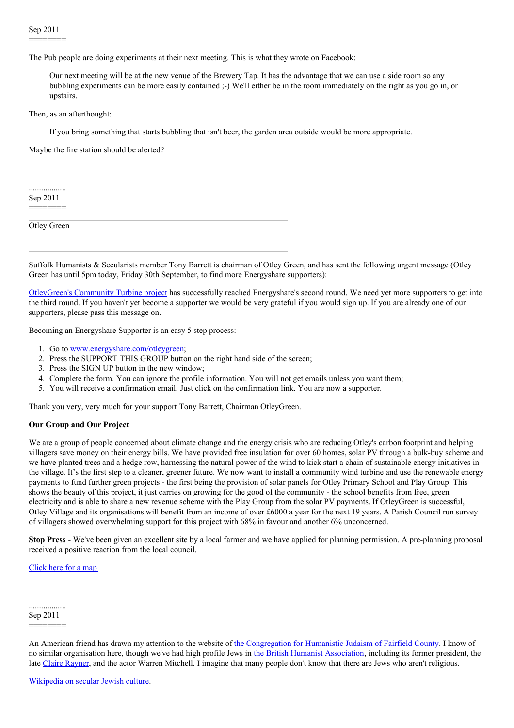The Pub people are doing experiments at their next meeting. This is what they wrote on Facebook:

Our next meeting will be at the new venue of the Brewery Tap. It has the advantage that we can use a side room so any bubbling experiments can be more easily contained ;-) We'll either be in the room immediately on the right as you go in, or upstairs.

Then, as an afterthought:

If you bring something that starts bubbling that isn't beer, the garden area outside would be more appropriate.

Maybe the fire station should be alerted?

.................. Sep 2011 ========

Otley Green

Suffolk Humanists & Secularists member Tony Barrett is chairman of Otley Green, and has sent the following urgent message (Otley Green has until 5pm today, Friday 30th September, to find more Energyshare supporters):

[OtleyGreen's](http://www.otleygreen.org/drupal/) Community Turbine project has successfully reached Energyshare's second round. We need yet more supporters to get into the third round. If you haven't yet become a supporter we would be very grateful if you would sign up. If you are already one of our supporters, please pass this message on.

Becoming an Energyshare Supporter is an easy 5 step process:

- 1. Go to [www.energyshare.com/otleygreen](http://www.energyshare.com/otleygreen/);
- 2. Press the SUPPORT THIS GROUP button on the right hand side of the screen;
- 3. Press the SIGN UP button in the new window;
- 4. Complete the form. You can ignore the profile information. You will not get emails unless you want them;
- 5. You will receive a confirmation email. Just click on the confirmation link. You are now a supporter.

Thank you very, very much for your support Tony Barrett, Chairman OtleyGreen.

# **Our Group and Our Project**

We are a group of people concerned about climate change and the energy crisis who are reducing Otley's carbon footprint and helping villagers save money on their energy bills. We have provided free insulation for over 60 homes, solar PV through a bulk-buy scheme and we have planted trees and a hedge row, harnessing the natural power of the wind to kick start a chain of sustainable energy initiatives in the village. It's the first step to a cleaner, greener future. We now want to install a community wind turbine and use the renewable energy payments to fund further green projects - the first being the provision of solar panels for Otley Primary School and Play Group. This shows the beauty of this project, it just carries on growing for the good of the community - the school benefits from free, green electricity and is able to share a new revenue scheme with the Play Group from the solar PV payments. If OtleyGreen is successful, Otley Village and its organisations will benefit from an income of over £6000 a year for the next 19 years. A Parish Council run survey of villagers showed overwhelming support for this project with 68% in favour and another 6% unconcerned.

**Stop Press** - We've been given an excellent site by a local farmer and we have applied for planning permission. A pre-planning proposal received a positive reaction from the local council.

[Click](http://www.suffolkhands.org.uk/node/1395) here for a map

.................. Sep 2011 ========

An American friend has drawn my attention to the website of the [Congregation](http://www.humanisticjews.org/) for Humanistic Judaism of Fairfield County. I know of no similar organisation here, though we've had high profile Jews in the British Humanist [Association](http://www.humanism.org.uk), including its former president, the late Claire [Rayner,](http://www.suffolkhands.org.uk/node/1242) and the actor Warren Mitchell. I imagine that many people don't know that there are Jews who aren't religious.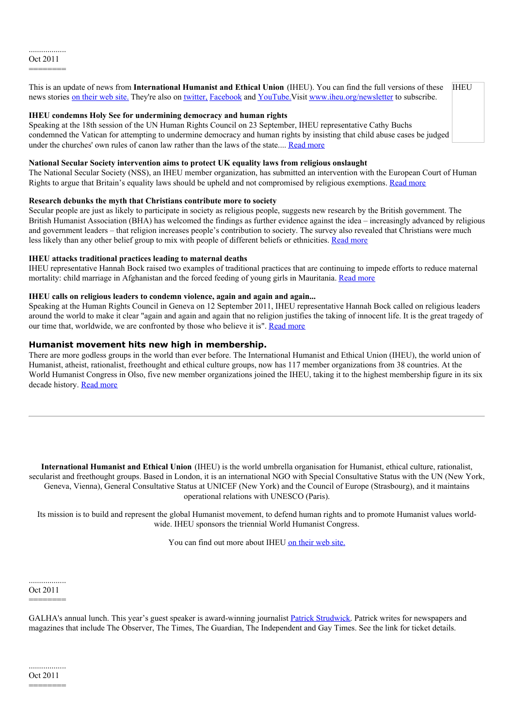**IHEU** This is an update of news from **International Humanist and Ethical Union** (IHEU). You can find the full versions of these news stories on [their](http://www.iheu.org) web site. They're also on [twitter,](http://twitter.com/iheu) [Facebook](http://facebook.com/iheunion) and YouTube. Visit [www.iheu.org/newsletter](http://www.iheu.org/newsletter) to subscribe.

# **IHEU condemns Holy See for undermining democracy and human rights**

Speaking at the 18th session of the UN Human Rights Council on 23 September, IHEU representative Cathy Buchs condemned the Vatican for attempting to undermine democracy and human rights by insisting that child abuse cases be judged under the churches' own rules of canon law rather than the laws of the state.... Read [more](http://www.iheu.org/node/4234)

# **National Secular Society intervention aims to protect UK equality laws from religious onslaught**

The National Secular Society (NSS), an IHEU member organization, has submitted an intervention with the European Court of Human Rights to argue that Britain's equality laws should be upheld and not compromised by religious exemptions. Read [more](http://www.iheu.org/node/4233)

## **Research debunks the myth that Christians contribute more to society**

Secular people are just as likely to participate in society as religious people, suggests new research by the British government. The British Humanist Association (BHA) has welcomed the findings as further evidence against the idea – increasingly advanced by religious and government leaders – that religion increases people's contribution to society. The survey also revealed that Christians were much less likely than any other belief group to mix with people of different beliefs or ethnicities. [Read](http://www.iheu.org/node/4232) more

## **IHEU attacks traditional practices leading to maternal deaths**

IHEU representative Hannah Bock raised two examples of traditional practices that are continuing to impede efforts to reduce maternal mortality: child marriage in Afghanistan and the forced feeding of young girls in Mauritania. [Read](http://www.iheu.org/node/4231%2509) more

# **IHEU calls on religious leaders to condemn violence, again and again and again...**

Speaking at the Human Rights Council in Geneva on 12 September 2011, IHEU representative Hannah Bock called on religious leaders around the world to make it clear "again and again and again that no religion justifies the taking of innocent life. It is the great tragedy of our time that, worldwide, we are confronted by those who believe it is". [Read](http://www.iheu.org/node/4230) more

# **Humanist movement hits new high in membership.**

There are more godless groups in the world than ever before. The International Humanist and Ethical Union (IHEU), the world union of Humanist, atheist, rationalist, freethought and ethical culture groups, now has 117 member organizations from 38 countries. At the World Humanist Congress in Olso, five new member organizations joined the IHEU, taking it to the highest membership figure in its six decade history. Read [more](http://www.iheu.org/node/4229)

**International Humanist and Ethical Union** (IHEU) is the world umbrella organisation for Humanist, ethical culture, rationalist, secularist and freethought groups. Based in London, it is an international NGO with Special Consultative Status with the UN (New York, Geneva, Vienna), General Consultative Status at UNICEF (New York) and the Council of Europe (Strasbourg), and it maintains operational relations with UNESCO (Paris).

Its mission is to build and represent the global Humanist movement, to defend human rights and to promote Humanist values worldwide. IHEU sponsors the triennial World Humanist Congress.

You can find out more about IHEU on [their](http://www.iheu.org) web site.

#### .................. Oct 2011

# ========

GALHA's annual lunch. This year's guest speaker is award-winning journalist Patrick [Strudwick](http://www.guardian.co.uk/profile/patrick-strudwick). Patrick writes for newspapers and magazines that include The Observer, The Times, The Guardian, The Independent and Gay Times. See the link for ticket details.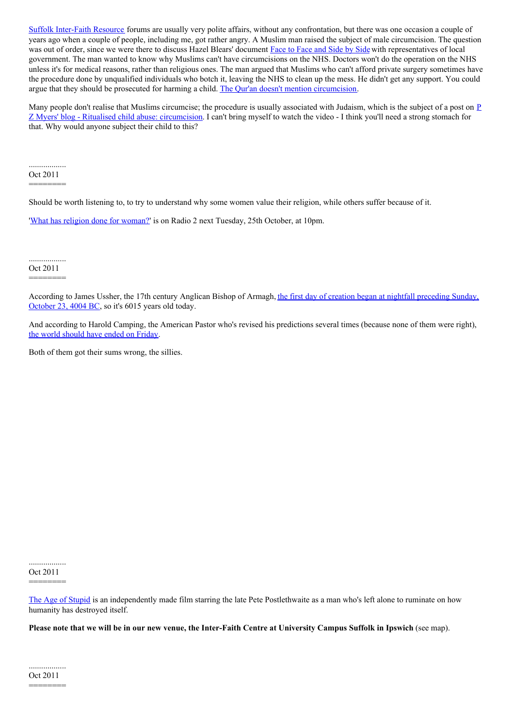Suffolk [Inter-Faith](http://www.sifre.co.uk) Resource forums are usually very polite affairs, without any confrontation, but there was one occasion a couple of years ago when a couple of people, including me, got rather angry. A Muslim man raised the subject of male circumcision. The question was out of order, since we were there to discuss Hazel Blears' document [Face](http://www.communities.gov.uk/publications/communities/facetofaceframework) to Face and Side by Side with representatives of local government. The man wanted to know why Muslims can't have circumcisions on the NHS. Doctors won't do the operation on the NHS unless it's for medical reasons, rather than religious ones. The man argued that Muslims who can't afford private surgery sometimes have the procedure done by unqualified individuals who botch it, leaving the NHS to clean up the mess. He didn't get any support. You could argue that they should be prosecuted for harming a child. The Qur'an doesn't mention [circumcision](http://www.bbc.co.uk/religion/religions/islam/islamethics/malecircumcision.shtml).

Many people don't realise that Muslims circumcise; the procedure is usually associated with Judaism, which is the subject of a post on  $\underline{P}$ Z Myers' blog - Ritualised child abuse: [circumcision.](http://scienceblogs.com/pharyngula/2011/10/ritualized_child_abuse_circumc.php) I can't bring myself to watch the video - I think you'll need a strong stomach for that. Why would anyone subject their child to this?

.................. Oct 2011

========

Should be worth listening to, to try to understand why some women value their religion, while others suffer because of it.

'What has religion done for [woman?](http://www.bbc.co.uk/programmes/b016c6kx)' is on Radio 2 next Tuesday, 25th October, at 10pm.

.................. Oct 2011

========

[According](http://en.wikipedia.org/wiki/Ussher_chronology) to James Ussher, the 17th century Anglican Bishop of Armagh, the first day of creation began at nightfall preceding Sunday, October 23, 4004 BC, so it's 6015 years old today.

And according to Harold Camping, the American Pastor who's revised his predictions several times (because none of them were right), the world [should](http://blog.newhumanist.org.uk/2011/10/is-rapture-is-coming.html) have ended on Friday.

Both of them got their sums wrong, the sillies.

.................. Oct 2011 ========

The Age of [Stupid](http://www.spannerfilms.net/films/ageofstupid) is an independently made film starring the late Pete Postlethwaite as a man who's left alone to ruminate on how humanity has destroyed itself.

Please note that we will be in our new venue, the Inter-Faith Centre at University Campus Suffolk in Ipswich (see map).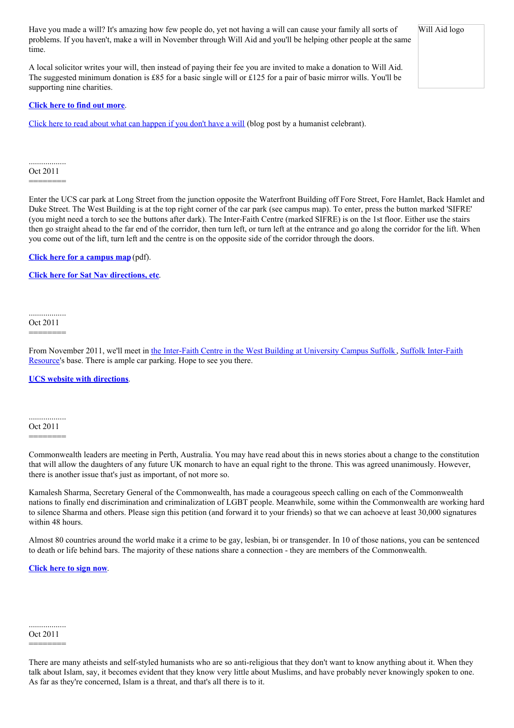Have you made a will? It's amazing how few people do, yet not having a will can cause your family all sorts of Will Aid logo problems. If you haven't, make a will in November through Will Aid and you'll be helping other people at the same time.

A local solicitor writes your will, then instead of paying their fee you are invited to make a donation to Will Aid. The suggested minimum donation is £85 for a basic single will or £125 for a pair of basic mirror wills. You'll be supporting nine charities.

# **[Click](http://www.willaid.org.uk/) here to find out more**.

Click here to read about what can [happen](http://deadinteresting.blogspot.com/2010/09/if-you-havent-already-done-so-make-will.html) if you don't have a will (blog post by a humanist celebrant).

.................. Oct 2011

========

Enter the UCS car park at Long Street from the junction opposite the Waterfront Building off Fore Street, Fore Hamlet, Back Hamlet and Duke Street. The West Building is at the top right corner of the car park (see campus map). To enter, press the button marked 'SIFRE' (you might need a torch to see the buttons after dark). The Inter-Faith Centre (marked SIFRE) is on the 1st floor. Either use the stairs then go straight ahead to the far end of the corridor, then turn left, or turn left at the entrance and go along the corridor for the lift. When you come out of the lift, turn left and the centre is on the opposite side of the corridor through the doors.

**Click here for a [campus](http://www.ucs.ac.uk/About/Findus/UCSIpswichCampusMap.pdf) map** (pdf).

**Click here for Sat Nav [directions,](http://www.ucs.ac.uk/About/Findus/FindUs.aspx) etc**.

.................. Oct 2011 ========

From November 2011, we'll meet in the [Inter-Faith](http://www.suffolkhands.org.uk/node/1408) Centre in the West Building at University Campus Suffolk, Suffolk Inter-Faith Resource's base. There is ample car parking. Hope to see you there.

## **UCS website with [directions](http://www.ucs.ac.uk/About/Findus/FindUs.aspx)**.

.................. Oct 2011

========

Commonwealth leaders are meeting in Perth, Australia. You may have read about this in news stories about a change to the constitution that will allow the daughters of any future UK monarch to have an equal right to the throne. This was agreed unanimously. However, there is another issue that's just as important, of not more so.

Kamalesh Sharma, Secretary General of the Commonwealth, has made a courageous speech calling on each of the Commonwealth nations to finally end discrimination and criminalization of LGBT people. Meanwhile, some within the Commonwealth are working hard to silence Sharma and others. Please sign this petition (and forward it to your friends) so that we can achoeve at least 30,000 signatures within 48 hours.

Almost 80 countries around the world make it a crime to be gay, lesbian, bi or transgender. In 10 of those nations, you can be sentenced to death or life behind bars. The majority of these nations share a connection - they are members of the Commonwealth.

**[Click](http://www.allout.org/en/actions/wearenotillegal) here to sign now**.

.................. Oct 2011

# ========

There are many atheists and self-styled humanists who are so anti-religious that they don't want to know anything about it. When they talk about Islam, say, it becomes evident that they know very little about Muslims, and have probably never knowingly spoken to one. As far as they're concerned, Islam is a threat, and that's all there is to it.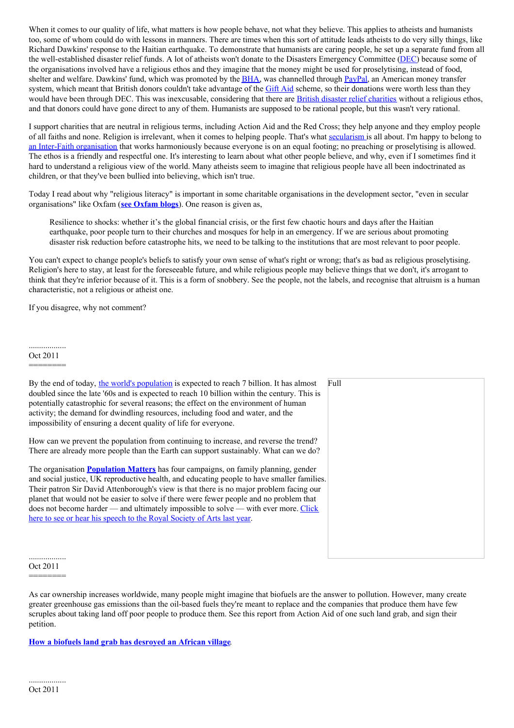When it comes to our quality of life, what matters is how people behave, not what they believe. This applies to atheists and humanists too, some of whom could do with lessons in manners. There are times when this sort of attitude leads atheists to do very silly things, like Richard Dawkins' response to the Haitian earthquake. To demonstrate that humanists are caring people, he set up a separate fund from all the well-established disaster relief funds. A lot of atheists won't donate to the Disasters Emergency Committee [\(DEC](http://www.dec.org.uk/)) because some of the organisations involved have a religious ethos and they imagine that the money might be used for proselytising, instead of food, shelter and welfare. Dawkins' fund, which was promoted by the **[BHA](http://www.humanism.org.uk)**, was channelled through [PayPal](https://www.paypal.com), an American money transfer system, which meant that British donors couldn't take advantage of the [Gift](http://www.hmrc.gov.uk/individuals/giving/gift-aid.htm) Aid scheme, so their donations were worth less than they would have been through DEC. This was inexcusable, considering that there are **British disaster relief [charities](http://www.dec.org.uk/member-charities)** without a religious ethos, and that donors could have gone direct to any of them. Humanists are supposed to be rational people, but this wasn't very rational.

I support charities that are neutral in religious terms, including Action Aid and the Red Cross; they help anyone and they employ people of all faiths and none. Religion is irrelevant, when it comes to helping people. That's what [secularism](http://www.suffolkhands.org.uk/node/530) is all about. I'm happy to belong to an Inter-Faith [organisation](http://www.sifre.co.uk/) that works harmoniously because everyone is on an equal footing; no preaching or proselytising is allowed. The ethos is a friendly and respectful one. It's interesting to learn about what other people believe, and why, even if I sometimes find it hard to understand a religious view of the world. Many atheists seem to imagine that religious people have all been indoctrinated as children, or that they've been bullied into believing, which isn't true.

Today I read about why "religious literacy" is important in some charitable organisations in the development sector, "even in secular organisations" like Oxfam (**see [Oxfam](http://www.oxfamblogs.org/fp2p/?p=7348) blogs**). One reason is given as,

Resilience to shocks: whether it's the global financial crisis, or the first few chaotic hours and days after the Haitian earthquake, poor people turn to their churches and mosques for help in an emergency. If we are serious about promoting disaster risk reduction before catastrophe hits, we need to be talking to the institutions that are most relevant to poor people.

You can't expect to change people's beliefs to satisfy your own sense of what's right or wrong; that's as bad as religious proselytising. Religion's here to stay, at least for the foreseeable future, and while religious people may believe things that we don't, it's arrogant to think that they're inferior because of it. This is a form of snobbery. See the people, not the labels, and recognise that altruism is a human characteristic, not a religious or atheist one.

If you disagree, why not comment?

#### .................. Oct 2011

========

| By the end of today, the world's population is expected to reach 7 billion. It has almost<br>doubled since the late '60s and is expected to reach 10 billion within the century. This is<br>potentially catastrophic for several reasons; the effect on the environment of human<br>activity; the demand for dwindling resources, including food and water, and the<br>impossibility of ensuring a decent quality of life for everyone.                                                                                                        | Full |
|------------------------------------------------------------------------------------------------------------------------------------------------------------------------------------------------------------------------------------------------------------------------------------------------------------------------------------------------------------------------------------------------------------------------------------------------------------------------------------------------------------------------------------------------|------|
| How can we prevent the population from continuing to increase, and reverse the trend?<br>There are already more people than the Earth can support sustainably. What can we do?                                                                                                                                                                                                                                                                                                                                                                 |      |
| The organisation <b>Population Matters</b> has four campaigns, on family planning, gender<br>and social justice, UK reproductive health, and educating people to have smaller families.<br>Their patron Sir David Attenborough's view is that there is no major problem facing our<br>planet that would not be easier to solve if there were fewer people and no problem that<br>does not become harder — and ultimately impossible to solve — with ever more. Click<br>here to see or hear his speech to the Royal Society of Arts last year. |      |
|                                                                                                                                                                                                                                                                                                                                                                                                                                                                                                                                                |      |

.................. Oct 2011

========

As car ownership increases worldwide, many people might imagine that biofuels are the answer to pollution. However, many create greater greenhouse gas emissions than the oil-based fuels they're meant to replace and the companies that produce them have few scruples about taking land off poor people to produce them. See this report from Action Aid of one such land grab, and sign their petition.

**How a biofuels land grab has [desroyed](http://www.actionaid.org/2011/10/how-biofuels-landgrab-has-destroyed-life-african-village) an African village**.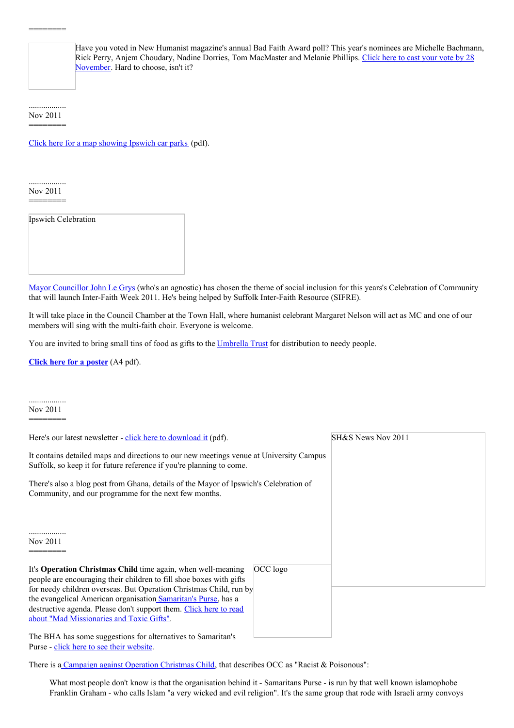Have you voted in New Humanist magazine's annual Bad Faith Award poll? This year's nominees are Michelle Bachmann, Rick Perry, Anjem Choudary, Nadine Dorries, Tom [MacMaster](http://blog.newhumanist.org.uk/2011/10/bad-faith-awards-2011-place-your-vote.html) and Melanie Phillips. Click here to cast your vote by 28 November. Hard to choose, isn't it?

.................. Nov 2011 ========

Click here for a map [showing](http://www.ipswich.gov.uk/downloads/IBC_carparks_planner_map.pdf) Ipswich car parks (pdf).

.................. Nov 2011 ========

Ipswich Celebration

Mayor [Councillor](http://www.ipswich.gov.uk/site/scripts/documents_info.php?categoryID=1001&documentID=528) John Le Grys (who's an agnostic) has chosen the theme of social inclusion for this years's Celebration of Community that will launch Inter-Faith Week 2011. He's being helped by Suffolk Inter-Faith Resource (SIFRE).

It will take place in the Council Chamber at the Town Hall, where humanist celebrant Margaret Nelson will act as MC and one of our members will sing with the multi-faith choir. Everyone is welcome.

You are invited to bring small tins of food as gifts to the [Umbrella](http://www.suffolkchamber.co.uk/membership/members_directory/ipswich_umbrella_trust) Trust for distribution to needy people.

**Click here for a [poster](http://www.suffolkhands.org.uk/files/1/celebration%20november%202011.pdf)** (A4 pdf).

.................. Nov 2011 ========

| Here's our latest newsletter - click here to download it (pdf).                                                                                                                                                                                                                                                                                                                               |          | SH&S News Nov 2011 |
|-----------------------------------------------------------------------------------------------------------------------------------------------------------------------------------------------------------------------------------------------------------------------------------------------------------------------------------------------------------------------------------------------|----------|--------------------|
| It contains detailed maps and directions to our new meetings venue at University Campus<br>Suffolk, so keep it for future reference if you're planning to come.                                                                                                                                                                                                                               |          |                    |
| There's also a blog post from Ghana, details of the Mayor of Ipswich's Celebration of<br>Community, and our programme for the next few months.                                                                                                                                                                                                                                                |          |                    |
| Nov 2011                                                                                                                                                                                                                                                                                                                                                                                      |          |                    |
| It's Operation Christmas Child time again, when well-meaning<br>people are encouraging their children to fill shoe boxes with gifts<br>for needy children overseas. But Operation Christmas Child, run by<br>the evangelical American organisation Samaritan's Purse, has a<br>destructive agenda. Please don't support them. Click here to read<br>about "Mad Missionaries and Toxic Gifts". | OCC logo |                    |
| The BHA has some suggestions for alternatives to Samaritan's                                                                                                                                                                                                                                                                                                                                  |          |                    |

Purse - click here to see their [website](http://www.humanism.org.uk/humanism/humanism-today/humanists-doing/charities/samaritans-purse).

There is a [Campaign](http://www.inminds.com/occ.html) against Operation Christmas Child, that describes OCC as "Racist & Poisonous":

What most people don't know is that the organisation behind it - Samaritans Purse - is run by that well known islamophobe Franklin Graham - who calls Islam "a very wicked and evil religion". It's the same group that rode with Israeli army convoys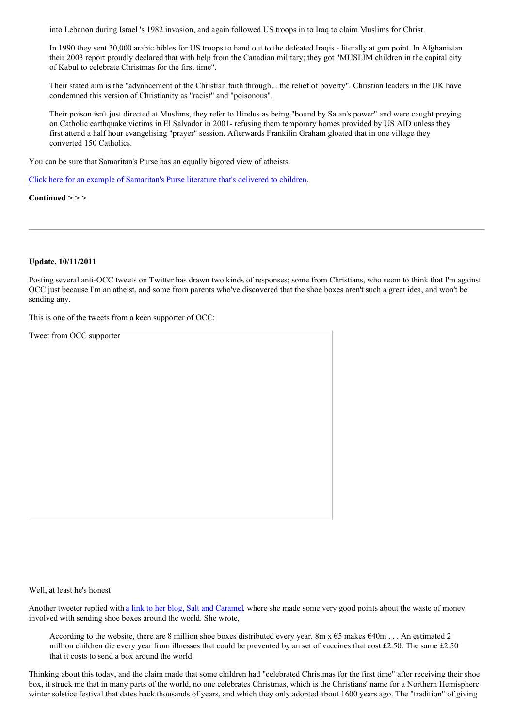into Lebanon during Israel 's 1982 invasion, and again followed US troops in to Iraq to claim Muslims for Christ.

In 1990 they sent 30,000 arabic bibles for US troops to hand out to the defeated Iraqis - literally at gun point. In Afghanistan their 2003 report proudly declared that with help from the Canadian military; they got "MUSLIM children in the capital city of Kabul to celebrate Christmas for the first time".

Their stated aim is the "advancement of the Christian faith through... the relief of poverty". Christian leaders in the UK have condemned this version of Christianity as "racist" and "poisonous".

Their poison isn't just directed at Muslims, they refer to Hindus as being "bound by Satan's power" and were caught preying on Catholic earthquake victims in El Salvador in 2001- refusing them temporary homes provided by US AID unless they first attend a half hour evangelising "prayer" session. Afterwards Frankilin Graham gloated that in one village they converted 150 Catholics.

You can be sure that Samaritan's Purse has an equally bigoted view of atheists.

Click here for an example of [Samaritan's](https://sites.google.com/site/occalert/evangelisingbooklet) Purse literature that's delivered to children.

**Continued > > >**

## **Update, 10/11/2011**

Posting several anti-OCC tweets on Twitter has drawn two kinds of responses; some from Christians, who seem to think that I'm against OCC just because I'm an atheist, and some from parents who've discovered that the shoe boxes aren't such a great idea, and won't be sending any.

This is one of the tweets from a keen supporter of OCC:

| Tweet from OCC supporter |  |  |
|--------------------------|--|--|
|                          |  |  |
|                          |  |  |
|                          |  |  |
|                          |  |  |
|                          |  |  |
|                          |  |  |
|                          |  |  |
|                          |  |  |
|                          |  |  |
|                          |  |  |
|                          |  |  |
|                          |  |  |
|                          |  |  |
|                          |  |  |
|                          |  |  |
|                          |  |  |

Well, at least he's honest!

Another tweeter replied with a link to her blog, Salt and [Caramel](http://saltandcaramel.com/2011/11/02/christmas-shoe-boxes-what-is-the-point/), where she made some very good points about the waste of money involved with sending shoe boxes around the world. She wrote,

According to the website, there are 8 million shoe boxes distributed every year. 8m x  $\epsilon$ 5 makes  $\epsilon$ 40m . . . An estimated 2 million children die every year from illnesses that could be prevented by an set of vaccines that cost £2.50. The same £2.50 that it costs to send a box around the world.

Thinking about this today, and the claim made that some children had "celebrated Christmas for the first time" after receiving their shoe box, it struck me that in many parts of the world, no one celebrates Christmas, which is the Christians' name for a Northern Hemisphere winter solstice festival that dates back thousands of years, and which they only adopted about 1600 years ago. The "tradition" of giving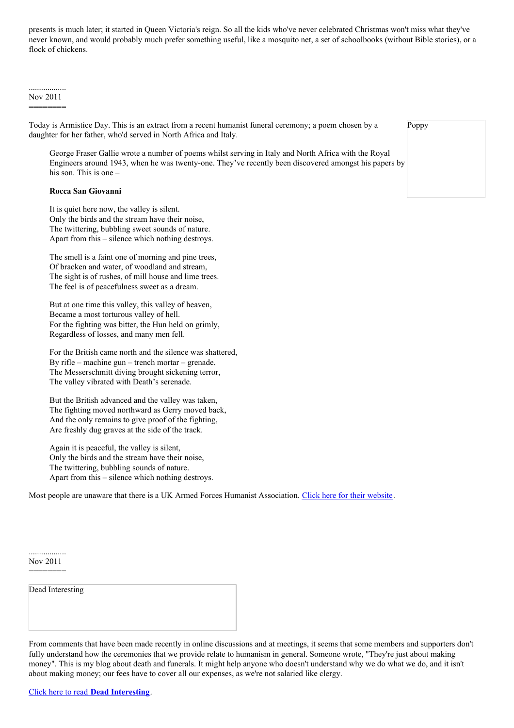presents is much later; it started in Queen Victoria's reign. So all the kids who've never celebrated Christmas won't miss what they've never known, and would probably much prefer something useful, like a mosquito net, a set of schoolbooks (without Bible stories), or a flock of chickens.

.................. Nov 2011 ========

Today is Armistice Day. This is an extract from a recent humanist funeral ceremony; a poem chosen by a daughter for her father, who'd served in North Africa and Italy.

George Fraser Gallie wrote a number of poems whilst serving in Italy and North Africa with the Royal Engineers around 1943, when he was twenty-one. They've recently been discovered amongst his papers by his son. This is one –

# **Rocca San Giovanni**

It is quiet here now, the valley is silent. Only the birds and the stream have their noise, The twittering, bubbling sweet sounds of nature. Apart from this – silence which nothing destroys.

The smell is a faint one of morning and pine trees, Of bracken and water, of woodland and stream, The sight is of rushes, of mill house and lime trees. The feel is of peacefulness sweet as a dream.

But at one time this valley, this valley of heaven, Became a most torturous valley of hell. For the fighting was bitter, the Hun held on grimly, Regardless of losses, and many men fell.

For the British came north and the silence was shattered, By rifle – machine gun – trench mortar – grenade. The Messerschmitt diving brought sickening terror, The valley vibrated with Death's serenade.

But the British advanced and the valley was taken, The fighting moved northward as Gerry moved back, And the only remains to give proof of the fighting, Are freshly dug graves at the side of the track.

Again it is peaceful, the valley is silent, Only the birds and the stream have their noise, The twittering, bubbling sounds of nature. Apart from this – silence which nothing destroys.

Most people are unaware that there is a UK Armed Forces Humanist Association. Click here for their [website](http://www.armedforceshumanists.org.uk/).

.................. Nov 2011 ========

Dead Interesting

From comments that have been made recently in online discussions and at meetings, it seems that some members and supporters don't fully understand how the ceremonies that we provide relate to humanism in general. Someone wrote, "They're just about making money". This is my blog about death and funerals. It might help anyone who doesn't understand why we do what we do, and it isn't about making money; our fees have to cover all our expenses, as we're not salaried like clergy.

Poppy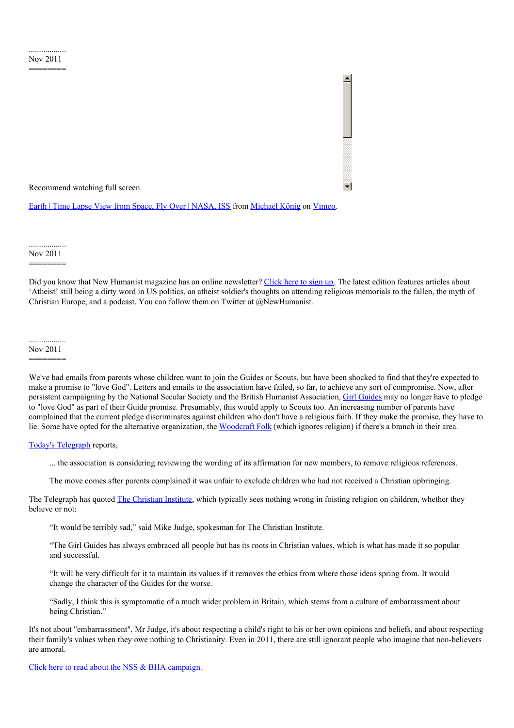Recommend watching full screen.

Earth | Time Lapse View from Space, Fly Over | [NASA,](http://vimeo.com/32001208) ISS from [Michael](http://vimeo.com/michaelkoenig) König on [Vimeo](http://vimeo.com).

.................. Nov 2011

========

Did you know that New Humanist magazine has an online newsletter? [Click](http://newhumanist.org.uk/newsletter) here to sign up. The latest edition features articles about 'Atheist' still being a dirty word in US politics, an atheist soldier's thoughts on attending religious memorials to the fallen, the myth of Christian Europe, and a podcast. You can follow them on Twitter at @NewHumanist.

.................. Nov 2011 ========

We've had emails from parents whose children want to join the Guides or Scouts, but have been shocked to find that they're expected to make a promise to "love God". Letters and emails to the association have failed, so far, to achieve any sort of compromise. Now, after persistent campaigning by the National Secular Society and the British Humanist Association, Girl [Guides](http://www.girlguiding.org.uk/home.aspx) may no longer have to pledge to "love God" as part of their Guide promise. Presumably, this would apply to Scouts too. An increasing number of parents have complained that the current pledge discriminates against children who don't have a religious faith. If they make the promise, they have to lie. Some have opted for the alternative organization, the [Woodcraft](http://www.woodcraft.org.uk/) Folk (which ignores religion) if there's a branch in their area.

Today's [Telegraph](http://www.telegraph.co.uk/news/religion/8902478/Girl-Guides-considers-dropping-God-from-members-promise.html) reports,

... the association is considering reviewing the wording of its affirmation for new members, to remove religious references.

The move comes after parents complained it was unfair to exclude children who had not received a Christian upbringing.

The Telegraph has quoted The [Christian](http://www.christian.org.uk/) Institute, which typically sees nothing wrong in foisting religion on children, whether they believe or not:

"It would be terribly sad," said Mike Judge, spokesman for The Christian Institute.

"The Girl Guides has always embraced all people but has its roots in Christian values, which is what has made it so popular and successful.

"It will be very difficult for it to maintain its values if it removes the ethics from where those ideas spring from. It would change the character of the Guides for the worse.

"Sadly, I think this is symptomatic of a much wider problem in Britain, which stems from a culture of embarrassment about being Christian."

It's not about "embarrassment", Mr Judge, it's about respecting a child's right to his or her own opinions and beliefs, and about respecting their family's values when they owe nothing to Christianity. Even in 2011, there are still ignorant people who imagine that non-believers are amoral.

Click here to read about the NSS & BHA [campaign](http://www.secularism.org.uk/scoutschallengedoverdiscriminati.html).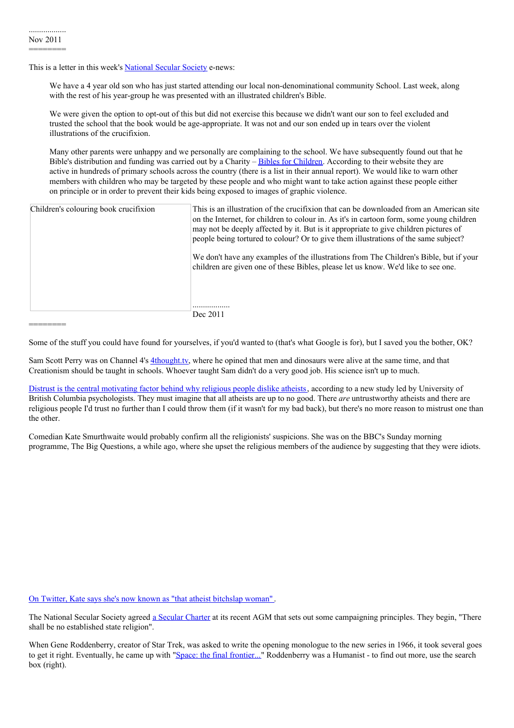========

This is a letter in this week's **[National](http://www.secularism.org.uk/) Secular Society** e-news:

We have a 4 year old son who has just started attending our local non-denominational community School. Last week, along with the rest of his year-group he was presented with an illustrated children's Bible.

We were given the option to opt-out of this but did not exercise this because we didn't want our son to feel excluded and trusted the school that the book would be age-appropriate. It was not and our son ended up in tears over the violent illustrations of the crucifixion.

Many other parents were unhappy and we personally are complaining to the school. We have subsequently found out that he Bible's distribution and funding was carried out by a Charity – Bibles for [Children](http://www.biblesforchildren.org.uk/). According to their website they are active in hundreds of primary schools across the country (there is a list in their annual report). We would like to warn other members with children who may be targeted by these people and who might want to take action against these people either on principle or in order to prevent their kids being exposed to images of graphic violence.

| Children's colouring book crucifixion | This is an illustration of the crucifixion that can be downloaded from an American site<br>on the Internet, for children to colour in. As it's in cartoon form, some young children<br>may not be deeply affected by it. But is it appropriate to give children pictures of<br>people being tortured to colour? Or to give them illustrations of the same subject? |
|---------------------------------------|--------------------------------------------------------------------------------------------------------------------------------------------------------------------------------------------------------------------------------------------------------------------------------------------------------------------------------------------------------------------|
|                                       | We don't have any examples of the illustrations from The Children's Bible, but if your<br>children are given one of these Bibles, please let us know. We'd like to see one.                                                                                                                                                                                        |
|                                       | Dec 2011                                                                                                                                                                                                                                                                                                                                                           |

Some of the stuff you could have found for yourselves, if you'd wanted to (that's what Google is for), but I saved you the bother, OK?

Sam Scott Perry was on Channel 4's [4thought.tv](http://www.4thought.tv/themes/should-creationism-be-taught-in-schools), where he opined that men and dinosaurs were alive at the same time, and that Creationism should be taught in schools. Whoever taught Sam didn't do a very good job. His science isn't up to much.

Distrust is the central [motivating](http://www.sciencedaily.com/releases/2011/11/111130100220.htm) factor behind why religious people dislike atheists, according to a new study led by University of British Columbia psychologists. They must imagine that all atheists are up to no good. There *are* untrustworthy atheists and there are religious people I'd trust no further than I could throw them (if it wasn't for my bad back), but there's no more reason to mistrust one than the other.

Comedian Kate Smurthwaite would probably confirm all the religionists' suspicions. She was on the BBC's Sunday morning programme, The Big Questions, a while ago, where she upset the religious members of the audience by suggesting that they were idiots.

On Twitter, Kate says she's now known as "that atheist [bitchslap](https://twitter.com/#!/Cruella1) woman" .

The National [Secular](http://www.secularism.org.uk/secularcharter.html) Society agreed a Secular Charter at its recent AGM that sets out some campaigning principles. They begin, "There shall be no established state religion".

When Gene Roddenberry, creator of Star Trek, was asked to write the opening monologue to the new series in 1966, it took several goes to get it right. Eventually, he came up with "Space: the final [frontier...](http://www.lettersofnote.com/2011/12/space-final-frontier.html)" Roddenberry was a Humanist - to find out more, use the search box (right).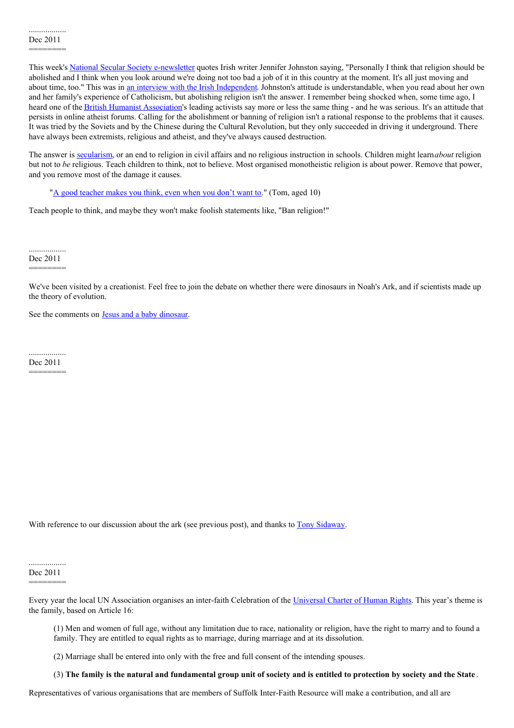This week's National Secular Society [e-newsletter](http://www.secularism.org.uk/newsline.html) quotes Irish writer Jennifer Johnston saying, "Personally I think that religion should be abolished and I think when you look around we're doing not too bad a job of it in this country at the moment. It's all just moving and about time, too." This was in an interview with the Irish [Independent](http://www.independent.ie/entertainment/books/religion-should-be-abolished-2946336.html). Johnston's attitude is understandable, when you read about her own and her family's experience of Catholicism, but abolishing religion isn't the answer. I remember being shocked when, some time ago, I heard one of the British Humanist [Association](http://www.humanism.org.uk/home)'s leading activists say more or less the same thing - and he was serious. It's an attitude that persists in online atheist forums. Calling for the abolishment or banning of religion isn't a rational response to the problems that it causes. It was tried by the Soviets and by the Chinese during the Cultural Revolution, but they only succeeded in driving it underground. There have always been extremists, religious and atheist, and they've always caused destruction.

The answer is [secularism](http://www.suffolkhands.org.uk/secularism), or an end to religion in civil affairs and no religious instruction in schools. Children might learn*about* religion but not to *be* religious. Teach children to think, not to believe. Most organised monotheistic religion is about power. Remove that power, and you remove most of the damage it causes.

"A good [teacher](http://www.teachingthinking.net/) makes you think, even when you don't want to." (Tom, aged 10)

Teach people to think, and maybe they won't make foolish statements like, "Ban religion!"

.................. Dec 2011 ========

We've been visited by a creationist. Feel free to join the debate on whether there were dinosaurs in Noah's Ark, and if scientists made up the theory of evolution.

See the comments on Jesus and a baby [dinosaur](http://www.suffolkhands.org.uk/node/1168).

.................. Dec 2011 ========

With reference to our discussion about the ark (see previous post), and thanks to Tony [Sidaway](https://plus.google.com/u/0/103133177397090504113/about).

.................. Dec 2011

========

Every year the local UN Association organises an inter-faith Celebration of the [Universal](http://www.un.org/en/documents/udhr/index.shtml) Charter of Human Rights. This year's theme is the family, based on Article 16:

(1) Men and women of full age, without any limitation due to race, nationality or religion, have the right to marry and to found a family. They are entitled to equal rights as to marriage, during marriage and at its dissolution.

(2) Marriage shall be entered into only with the free and full consent of the intending spouses.

(3) The family is the natural and fundamental group unit of society and is entitled to protection by society and the State.

Representatives of various organisations that are members of Suffolk Inter-Faith Resource will make a contribution, and all are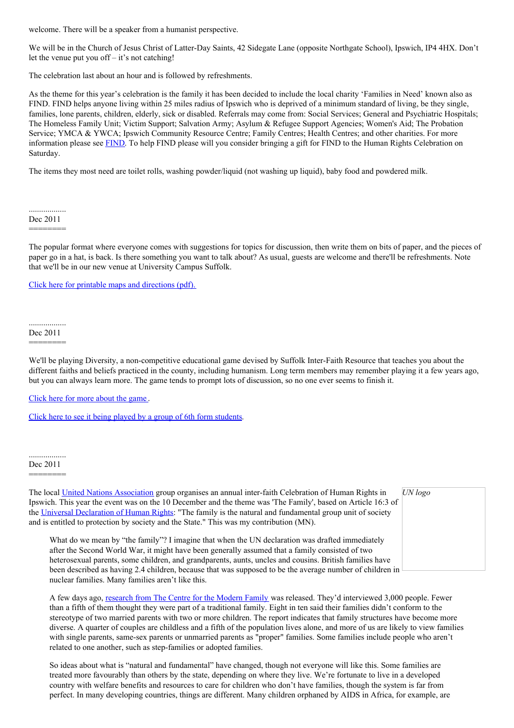welcome. There will be a speaker from a humanist perspective.

We will be in the Church of Jesus Christ of Latter-Day Saints, 42 Sidegate Lane (opposite Northgate School), Ipswich, IP4 4HX. Don't let the venue put you off  $-$  it's not catching!

The celebration last about an hour and is followed by refreshments.

As the theme for this year's celebration is the family it has been decided to include the local charity 'Families in Need' known also as FIND. FIND helps anyone living within 25 miles radius of Ipswich who is deprived of a minimum standard of living, be they single, families, lone parents, children, elderly, sick or disabled. Referrals may come from: Social Services; General and Psychiatric Hospitals; The Homeless Family Unit; Victim Support; Salvation Army; Asylum & Refugee Support Agencies; Women's Aid; The Probation Service; YMCA & YWCA; Ipswich Community Resource Centre; Family Centres; Health Centres; and other charities. For more information please see [FIND](http://ipswich.waterfrontaction.co.uk/Families_In_Need_FIND.html). To help FIND please will you consider bringing a gift for FIND to the Human Rights Celebration on Saturday.

The items they most need are toilet rolls, washing powder/liquid (not washing up liquid), baby food and powdered milk.

.................. Dec 2011 ========

The popular format where everyone comes with suggestions for topics for discussion, then write them on bits of paper, and the pieces of paper go in a hat, is back. Is there something you want to talk about? As usual, guests are welcome and there'll be refreshments. Note that we'll be in our new venue at University Campus Suffolk.

Click here for printable maps and [directions](http://www.suffolkhands.org.uk/files/1/SH&S%20at%20UCS%20-%20maps%20and%20directions.pdf) (pdf).

.................. Dec 2011 ========

We'll be playing Diversity, a non-competitive educational game devised by Suffolk Inter-Faith Resource that teaches you about the different faiths and beliefs practiced in the county, including humanism. Long term members may remember playing it a few years ago, but you can always learn more. The game tends to prompt lots of discussion, so no one ever seems to finish it.

Click here for more [about](http://www.eefa.net/diversity.htm) the game .

Click here to see it being played by a group of 6th form [students](http://www.suffolkhands.org.uk/interfaith).

nuclear families. Many families aren't like this.

.................. Dec 2011

========

| The local United Nations Association group organises an annual inter-faith Celebration of Human Rights in<br>Ipswich. This year the event was on the 10 December and the theme was 'The Family', based on Article 16:3 of<br>the Universal Declaration of Human Rights: "The family is the natural and fundamental group unit of society<br>and is entitled to protection by society and the State." This was my contribution (MN). | UN logo |
|-------------------------------------------------------------------------------------------------------------------------------------------------------------------------------------------------------------------------------------------------------------------------------------------------------------------------------------------------------------------------------------------------------------------------------------|---------|
| What do we mean by "the family"? I imagine that when the UN declaration was drafted immediately<br>after the Second World War, it might have been generally assumed that a family consisted of two<br>heterosexual parents, some children, and grandparents, aunts, uncles and cousins. British families have                                                                                                                       |         |

been described as having 2.4 children, because that was supposed to be the average number of children in  $\Box$ 

A few days ago, [research](http://www.bbc.co.uk/news/education-16049533) from The Centre for the Modern Family was released. They'd interviewed 3,000 people. Fewer than a fifth of them thought they were part of a traditional family. Eight in ten said their families didn't conform to the stereotype of two married parents with two or more children. The report indicates that family structures have become more diverse. A quarter of couples are childless and a fifth of the population lives alone, and more of us are likely to view families with single parents, same-sex parents or unmarried parents as "proper" families. Some families include people who aren't related to one another, such as step-families or adopted families.

So ideas about what is "natural and fundamental" have changed, though not everyone will like this. Some families are treated more favourably than others by the state, depending on where they live. We're fortunate to live in a developed country with welfare benefits and resources to care for children who don't have families, though the system is far from perfect. In many developing countries, things are different. Many children orphaned by AIDS in Africa, for example, are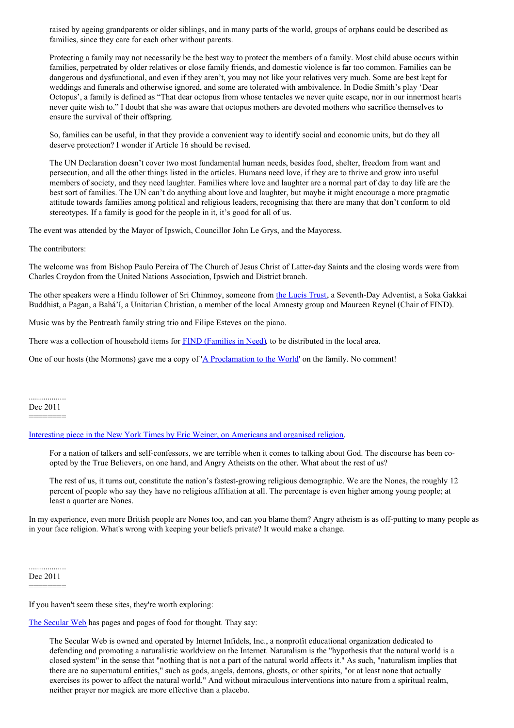raised by ageing grandparents or older siblings, and in many parts of the world, groups of orphans could be described as families, since they care for each other without parents.

Protecting a family may not necessarily be the best way to protect the members of a family. Most child abuse occurs within families, perpetrated by older relatives or close family friends, and domestic violence is far too common. Families can be dangerous and dysfunctional, and even if they aren't, you may not like your relatives very much. Some are best kept for weddings and funerals and otherwise ignored, and some are tolerated with ambivalence. In Dodie Smith's play 'Dear Octopus', a family is defined as "That dear octopus from whose tentacles we never quite escape, nor in our innermost hearts never quite wish to." I doubt that she was aware that octopus mothers are devoted mothers who sacrifice themselves to ensure the survival of their offspring.

So, families can be useful, in that they provide a convenient way to identify social and economic units, but do they all deserve protection? I wonder if Article 16 should be revised.

The UN Declaration doesn't cover two most fundamental human needs, besides food, shelter, freedom from want and persecution, and all the other things listed in the articles. Humans need love, if they are to thrive and grow into useful members of society, and they need laughter. Families where love and laughter are a normal part of day to day life are the best sort of families. The UN can't do anything about love and laughter, but maybe it might encourage a more pragmatic attitude towards families among political and religious leaders, recognising that there are many that don't conform to old stereotypes. If a family is good for the people in it, it's good for all of us.

The event was attended by the Mayor of Ipswich, Councillor John Le Grys, and the Mayoress.

The contributors:

The welcome was from Bishop Paulo Pereira of The Church of Jesus Christ of Latter-day Saints and the closing words were from Charles Croydon from the United Nations Association, Ipswich and District branch.

The other speakers were a Hindu follower of Sri Chinmoy, someone from the [Lucis](http://www.lucistrust.org/) Trust, a Seventh-Day Adventist, a Soka Gakkai Buddhist, a Pagan, a Bahá'í, a Unitarian Christian, a member of the local Amnesty group and Maureen Reynel (Chair of FIND).

Music was by the Pentreath family string trio and Filipe Esteves on the piano.

There was a collection of household items for **FIND** [\(Families](http://www.networkipswich.org.uk/Mobile/default.aspx?article_id=135757) in Need), to be distributed in the local area.

One of our hosts (the Mormons) gave me a copy of 'A [Proclamation](http://www.suffolkhands.org.uk/files/1/Mormons%20on%20the%20family%20001.jpg) to the World' on the family. No comment!

.................. Dec 2011

========

Interesting piece in the New York Times by Eric Weiner, on [Americans](http://www.nytimes.com/2011/12/11/opinion/sunday/americans-and-god.html) and organised religion.

For a nation of talkers and self-confessors, we are terrible when it comes to talking about God. The discourse has been coopted by the True Believers, on one hand, and Angry Atheists on the other. What about the rest of us?

The rest of us, it turns out, constitute the nation's fastest-growing religious demographic. We are the Nones, the roughly 12 percent of people who say they have no religious affiliation at all. The percentage is even higher among young people; at least a quarter are Nones.

In my experience, even more British people are Nones too, and can you blame them? Angry atheism is as off-putting to many people as in your face religion. What's wrong with keeping your beliefs private? It would make a change.

.................. Dec 2011 ========

If you haven't seem these sites, they're worth exploring:

The [Secular](http://www.infidels.org/) Web has pages and pages of food for thought. Thay say:

The Secular Web is owned and operated by Internet Infidels, Inc., a nonprofit educational organization dedicated to defending and promoting a naturalistic worldview on the Internet. Naturalism is the "hypothesis that the natural world is a closed system" in the sense that "nothing that is not a part of the natural world affects it." As such, "naturalism implies that there are no supernatural entities," such as gods, angels, demons, ghosts, or other spirits, "or at least none that actually exercises its power to affect the natural world." And without miraculous interventions into nature from a spiritual realm, neither prayer nor magick are more effective than a placebo.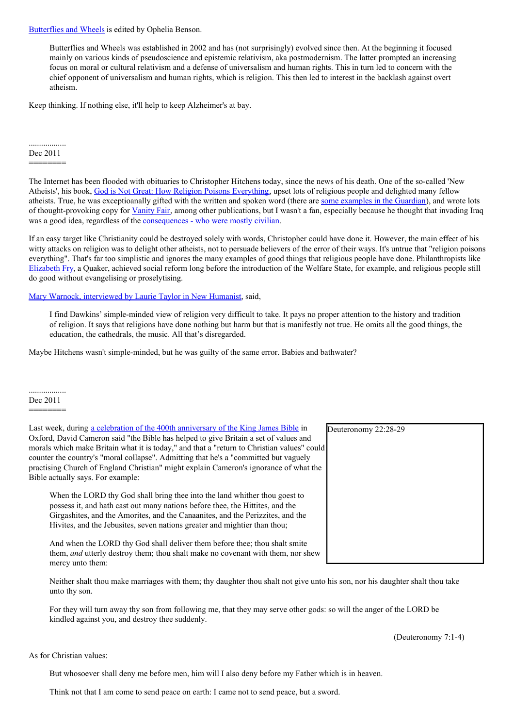[Butterflies](http://www.butterfliesandwheels.org/) and Wheels is edited by Ophelia Benson.

Butterflies and Wheels was established in 2002 and has (not surprisingly) evolved since then. At the beginning it focused mainly on various kinds of pseudoscience and epistemic relativism, aka postmodernism. The latter prompted an increasing focus on moral or cultural relativism and a defense of universalism and human rights. This in turn led to concern with the chief opponent of universalism and human rights, which is religion. This then led to interest in the backlash against overt atheism.

Keep thinking. If nothing else, it'll help to keep Alzheimer's at bay.

#### .................. Dec 2011

========

The Internet has been flooded with obituaries to Christopher Hitchens today, since the news of his death. One of the so-called 'New Atheists', his book, God is Not Great: How Religion Poisons [Everything](http://www.amazon.co.uk/God-Not-Great-Religion-Everything/dp/1843545748/ref=tmm_pap_title_0), upset lots of religious people and delighted many fellow atheists. True, he was exceptioanally gifted with the written and spoken word (there are some [examples](http://www.guardian.co.uk/books/2011/dec/16/christopher-hitchens-quotes-bons-mots) in the Guardian), and wrote lots of thought-provoking copy for [Vanity](http://www.vanityfair.com/contributors/christopher-hitchens) Fair, among other publications, but I wasn't a fan, especially because he thought that invading Iraq was a good idea, regardless of the **[consequences](http://www.guardian.co.uk/world/2008/mar/19/iraq)** - who were mostly civilian.

If an easy target like Christianity could be destroyed solely with words, Christopher could have done it. However, the main effect of his witty attacks on religion was to delight other atheists, not to persuade believers of the error of their ways. It's untrue that "religion poisons everything". That's far too simplistic and ignores the many examples of good things that religious people have done. Philanthropists like [Elizabeth](http://news.bbc.co.uk/1/hi/uk/1998863.stm) Fry, a Quaker, achieved social reform long before the introduction of the Welfare State, for example, and religious people still do good without evangelising or proselytising.

Mary Warnock, [interviewed](http://newhumanist.org.uk/2378/no-nonsense-laurie-taylor-interviews-mary-warnock) by Laurie Taylor in New Humanist, said,

I find Dawkins' simple-minded view of religion very difficult to take. It pays no proper attention to the history and tradition of religion. It says that religions have done nothing but harm but that is manifestly not true. He omits all the good things, the education, the cathedrals, the music. All that's disregarded.

Maybe Hitchens wasn't simple-minded, but he was guilty of the same error. Babies and bathwater?

.................. Dec 2011

========

Last week, during a celebration of the 400th [anniversary](http://www.guardian.co.uk/world/2011/dec/16/cameron-king-james-bible-anniversary) of the King James Bible in Oxford, David Cameron said "the Bible has helped to give Britain a set of values and morals which make Britain what it is today," and that a "return to Christian values" could counter the country's "moral collapse". Admitting that he's a "committed but vaguely practising Church of England Christian" might explain Cameron's ignorance of what the Bible actually says. For example:

When the LORD thy God shall bring thee into the land whither thou goest to possess it, and hath cast out many nations before thee, the Hittites, and the Girgashites, and the Amorites, and the Canaanites, and the Perizzites, and the Hivites, and the Jebusites, seven nations greater and mightier than thou;

And when the LORD thy God shall deliver them before thee; thou shalt smite them, *and* utterly destroy them; thou shalt make no covenant with them, nor shew mercy unto them:

Neither shalt thou make marriages with them; thy daughter thou shalt not give unto his son, nor his daughter shalt thou take unto thy son.

For they will turn away thy son from following me, that they may serve other gods: so will the anger of the LORD be kindled against you, and destroy thee suddenly.

(Deuteronomy 7:1-4)

As for Christian values:

But whosoever shall deny me before men, him will I also deny before my Father which is in heaven.

Think not that I am come to send peace on earth: I came not to send peace, but a sword.

Deuteronomy 22:28-29